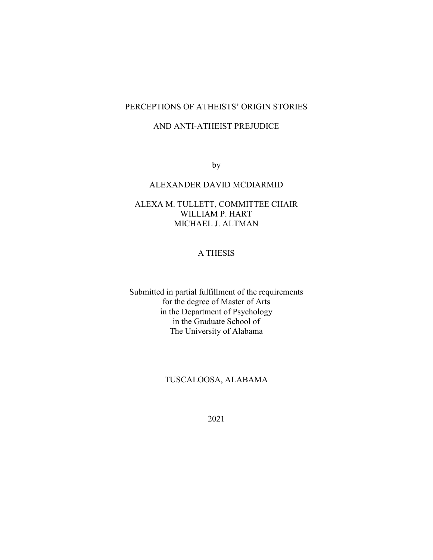# PERCEPTIONS OF ATHEISTS' ORIGIN STORIES

## AND ANTI-ATHEIST PREJUDICE

by

# ALEXANDER DAVID MCDIARMID

# ALEXA M. TULLETT, COMMITTEE CHAIR WILLIAM P. HART MICHAEL J. ALTMAN

# A THESIS

Submitted in partial fulfillment of the requirements for the degree of Master of Arts in the Department of Psychology in the Graduate School of The University of Alabama

# TUSCALOOSA, ALABAMA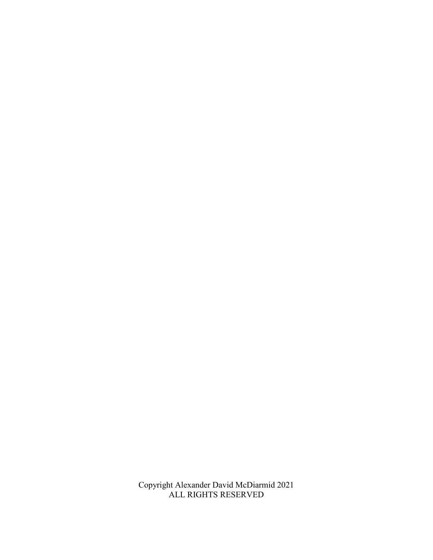Copyright Alexander David McDiarmid 2021 ALL RIGHTS RESERVED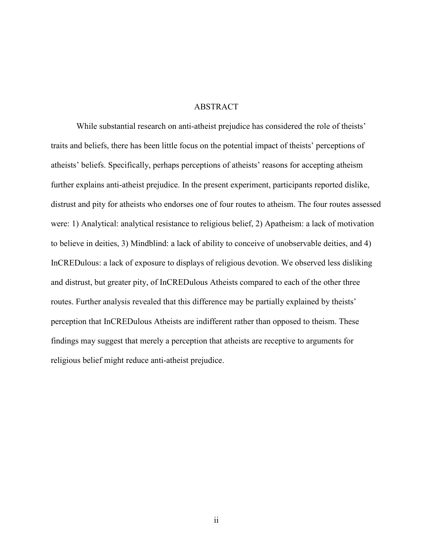## **ABSTRACT**

 While substantial research on anti-atheist prejudice has considered the role of theists' traits and beliefs, there has been little focus on the potential impact of theists' perceptions of atheists' beliefs. Specifically, perhaps perceptions of atheists' reasons for accepting atheism further explains anti-atheist prejudice. In the present experiment, participants reported dislike, distrust and pity for atheists who endorses one of four routes to atheism. The four routes assessed were: 1) Analytical: analytical resistance to religious belief, 2) Apatheism: a lack of motivation to believe in deities, 3) Mindblind: a lack of ability to conceive of unobservable deities, and 4) InCREDulous: a lack of exposure to displays of religious devotion. We observed less disliking and distrust, but greater pity, of InCREDulous Atheists compared to each of the other three routes. Further analysis revealed that this difference may be partially explained by theists' perception that InCREDulous Atheists are indifferent rather than opposed to theism. These findings may suggest that merely a perception that atheists are receptive to arguments for religious belief might reduce anti-atheist prejudice.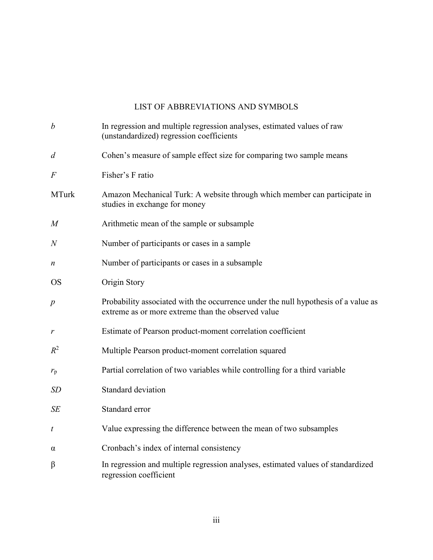# LIST OF ABBREVIATIONS AND SYMBOLS

| $\boldsymbol{b}$ | In regression and multiple regression analyses, estimated values of raw<br>(unstandardized) regression coefficients                      |
|------------------|------------------------------------------------------------------------------------------------------------------------------------------|
| $\overline{d}$   | Cohen's measure of sample effect size for comparing two sample means                                                                     |
| $\overline{F}$   | Fisher's F ratio                                                                                                                         |
| <b>MTurk</b>     | Amazon Mechanical Turk: A website through which member can participate in<br>studies in exchange for money                               |
| $\overline{M}$   | Arithmetic mean of the sample or subsample                                                                                               |
| $\,N$            | Number of participants or cases in a sample                                                                                              |
| n                | Number of participants or cases in a subsample                                                                                           |
| <b>OS</b>        | Origin Story                                                                                                                             |
| $\boldsymbol{p}$ | Probability associated with the occurrence under the null hypothesis of a value as<br>extreme as or more extreme than the observed value |
| r                | Estimate of Pearson product-moment correlation coefficient                                                                               |
| $R^2$            | Multiple Pearson product-moment correlation squared                                                                                      |
| $r_{\rm p}$      | Partial correlation of two variables while controlling for a third variable                                                              |
| <b>SD</b>        | Standard deviation                                                                                                                       |
| SE               | Standard error                                                                                                                           |
| t                | Value expressing the difference between the mean of two subsamples                                                                       |
| α                | Cronbach's index of internal consistency                                                                                                 |
| β                | In regression and multiple regression analyses, estimated values of standardized<br>regression coefficient                               |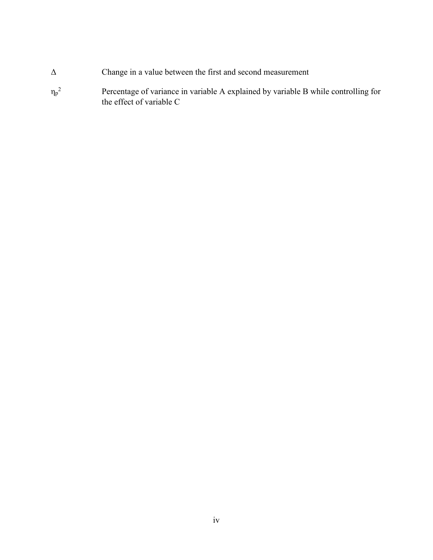- ΔChange in a value between the first and second measurement
- $\eta_p{}^2$ <sup>2</sup>Percentage of variance in variable A explained by variable B while controlling for the effect of variable C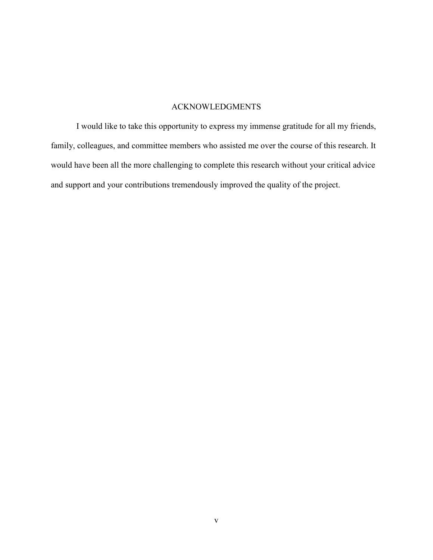# ACKNOWLEDGMENTS

 I would like to take this opportunity to express my immense gratitude for all my friends, family, colleagues, and committee members who assisted me over the course of this research. It would have been all the more challenging to complete this research without your critical advice and support and your contributions tremendously improved the quality of the project.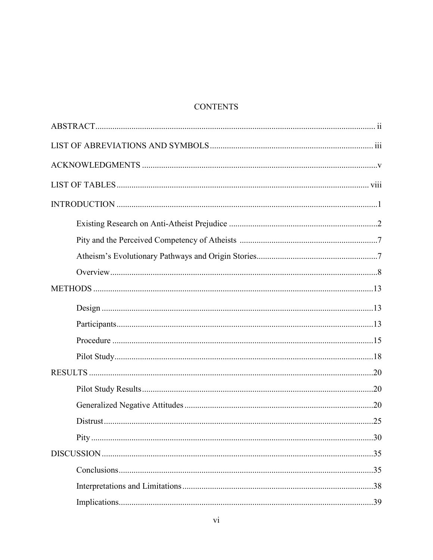# **CONTENTS**

| Pity |  |
|------|--|
|      |  |
|      |  |
|      |  |
|      |  |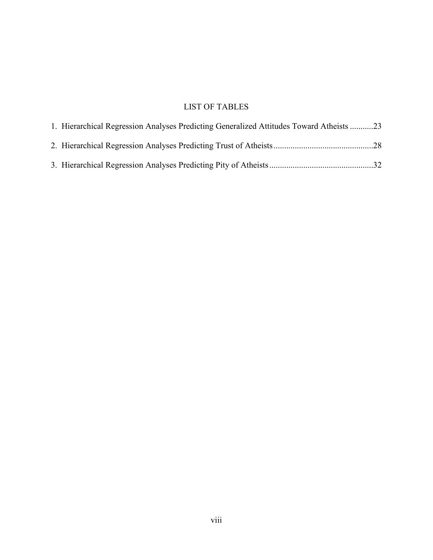# LIST OF TABLES

| 1. Hierarchical Regression Analyses Predicting Generalized Attitudes Toward Atheists 23 |  |
|-----------------------------------------------------------------------------------------|--|
|                                                                                         |  |
|                                                                                         |  |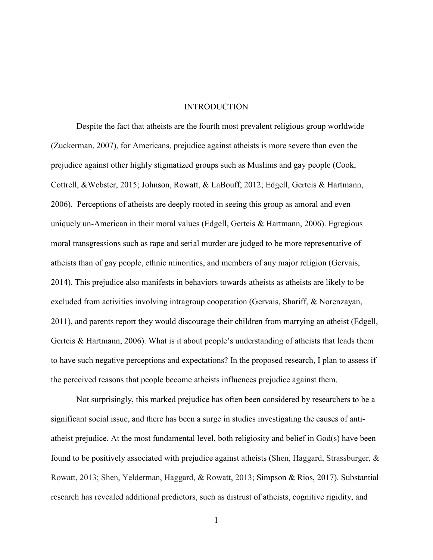#### INTRODUCTION

Despite the fact that atheists are the fourth most prevalent religious group worldwide (Zuckerman, 2007), for Americans, prejudice against atheists is more severe than even the prejudice against other highly stigmatized groups such as Muslims and gay people (Cook, Cottrell, &Webster, 2015; Johnson, Rowatt, & LaBouff, 2012; Edgell, Gerteis & Hartmann, 2006). Perceptions of atheists are deeply rooted in seeing this group as amoral and even uniquely un-American in their moral values (Edgell, Gerteis & Hartmann, 2006). Egregious moral transgressions such as rape and serial murder are judged to be more representative of atheists than of gay people, ethnic minorities, and members of any major religion (Gervais, 2014). This prejudice also manifests in behaviors towards atheists as atheists are likely to be excluded from activities involving intragroup cooperation (Gervais, Shariff, & Norenzayan, 2011), and parents report they would discourage their children from marrying an atheist (Edgell, Gerteis & Hartmann, 2006). What is it about people's understanding of atheists that leads them to have such negative perceptions and expectations? In the proposed research, I plan to assess if the perceived reasons that people become atheists influences prejudice against them.

 Not surprisingly, this marked prejudice has often been considered by researchers to be a significant social issue, and there has been a surge in studies investigating the causes of antiatheist prejudice. At the most fundamental level, both religiosity and belief in God(s) have been found to be positively associated with prejudice against atheists (Shen, Haggard, Strassburger, & Rowatt, 2013; Shen, Yelderman, Haggard, & Rowatt, 2013; Simpson & Rios, 2017). Substantial research has revealed additional predictors, such as distrust of atheists, cognitive rigidity, and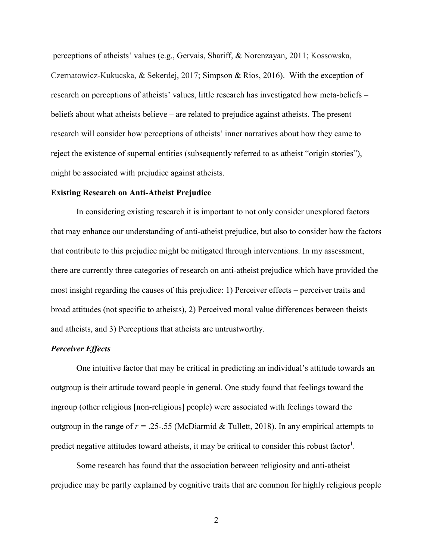perceptions of atheists' values (e.g., Gervais, Shariff, & Norenzayan, 2011; Kossowska, Czernatowicz-Kukucska, & Sekerdej, 2017; Simpson & Rios, 2016). With the exception of research on perceptions of atheists' values, little research has investigated how meta-beliefs – beliefs about what atheists believe – are related to prejudice against atheists. The present research will consider how perceptions of atheists' inner narratives about how they came to reject the existence of supernal entities (subsequently referred to as atheist "origin stories"), might be associated with prejudice against atheists.

#### **Existing Research on Anti-Atheist Prejudice**

 In considering existing research it is important to not only consider unexplored factors that may enhance our understanding of anti-atheist prejudice, but also to consider how the factors that contribute to this prejudice might be mitigated through interventions. In my assessment, there are currently three categories of research on anti-atheist prejudice which have provided the most insight regarding the causes of this prejudice: 1) Perceiver effects – perceiver traits and broad attitudes (not specific to atheists), 2) Perceived moral value differences between theists and atheists, and 3) Perceptions that atheists are untrustworthy.

#### *Perceiver Effects*

One intuitive factor that may be critical in predicting an individual's attitude towards an outgroup is their attitude toward people in general. One study found that feelings toward the ingroup (other religious [non-religious] people) were associated with feelings toward the outgroup in the range of  $r = 0.25$ -.55 (McDiarmid & Tullett, 2018). In any empirical attempts to predict negative attitudes toward atheists, it may be critical to consider this robust factor<sup>1</sup>.

 Some research has found that the association between religiosity and anti-atheist prejudice may be partly explained by cognitive traits that are common for highly religious people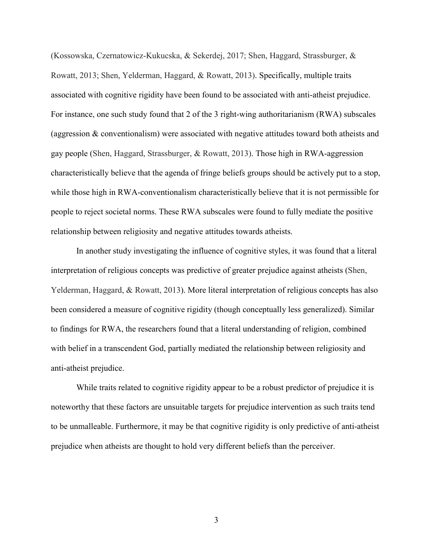(Kossowska, Czernatowicz-Kukucska, & Sekerdej, 2017; Shen, Haggard, Strassburger, & Rowatt, 2013; Shen, Yelderman, Haggard, & Rowatt, 2013). Specifically, multiple traits associated with cognitive rigidity have been found to be associated with anti-atheist prejudice. For instance, one such study found that 2 of the 3 right-wing authoritarianism (RWA) subscales (aggression & conventionalism) were associated with negative attitudes toward both atheists and gay people (Shen, Haggard, Strassburger, & Rowatt, 2013). Those high in RWA-aggression characteristically believe that the agenda of fringe beliefs groups should be actively put to a stop, while those high in RWA-conventionalism characteristically believe that it is not permissible for people to reject societal norms. These RWA subscales were found to fully mediate the positive relationship between religiosity and negative attitudes towards atheists.

 In another study investigating the influence of cognitive styles, it was found that a literal interpretation of religious concepts was predictive of greater prejudice against atheists (Shen, Yelderman, Haggard, & Rowatt, 2013). More literal interpretation of religious concepts has also been considered a measure of cognitive rigidity (though conceptually less generalized). Similar to findings for RWA, the researchers found that a literal understanding of religion, combined with belief in a transcendent God, partially mediated the relationship between religiosity and anti-atheist prejudice.

 While traits related to cognitive rigidity appear to be a robust predictor of prejudice it is noteworthy that these factors are unsuitable targets for prejudice intervention as such traits tend to be unmalleable. Furthermore, it may be that cognitive rigidity is only predictive of anti-atheist prejudice when atheists are thought to hold very different beliefs than the perceiver.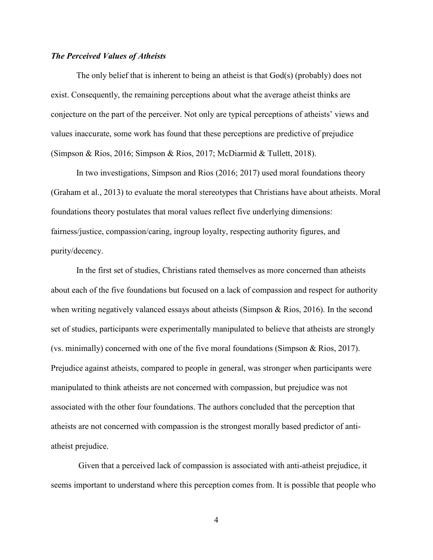#### *The Perceived Values of Atheists*

The only belief that is inherent to being an atheist is that God(s) (probably) does not exist. Consequently, the remaining perceptions about what the average atheist thinks are conjecture on the part of the perceiver. Not only are typical perceptions of atheists' views and values inaccurate, some work has found that these perceptions are predictive of prejudice (Simpson & Rios, 2016; Simpson & Rios, 2017; McDiarmid & Tullett, 2018).

In two investigations, Simpson and Rios (2016; 2017) used moral foundations theory (Graham et al., 2013) to evaluate the moral stereotypes that Christians have about atheists. Moral foundations theory postulates that moral values reflect five underlying dimensions: fairness/justice, compassion/caring, ingroup loyalty, respecting authority figures, and purity/decency.

In the first set of studies, Christians rated themselves as more concerned than atheists about each of the five foundations but focused on a lack of compassion and respect for authority when writing negatively valanced essays about atheists (Simpson  $\&$  Rios, 2016). In the second set of studies, participants were experimentally manipulated to believe that atheists are strongly (vs. minimally) concerned with one of the five moral foundations (Simpson & Rios, 2017). Prejudice against atheists, compared to people in general, was stronger when participants were manipulated to think atheists are not concerned with compassion, but prejudice was not associated with the other four foundations. The authors concluded that the perception that atheists are not concerned with compassion is the strongest morally based predictor of antiatheist prejudice.

 Given that a perceived lack of compassion is associated with anti-atheist prejudice, it seems important to understand where this perception comes from. It is possible that people who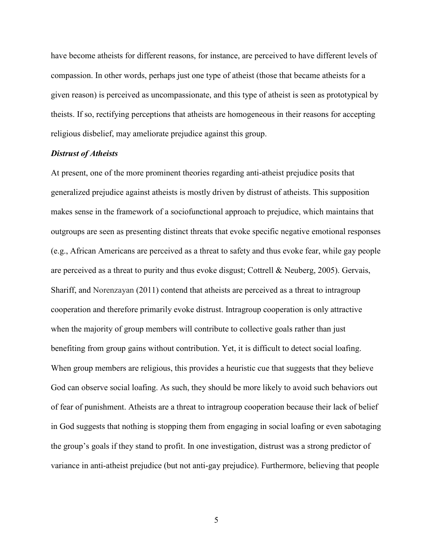have become atheists for different reasons, for instance, are perceived to have different levels of compassion. In other words, perhaps just one type of atheist (those that became atheists for a given reason) is perceived as uncompassionate, and this type of atheist is seen as prototypical by theists. If so, rectifying perceptions that atheists are homogeneous in their reasons for accepting religious disbelief, may ameliorate prejudice against this group.

#### *Distrust of Atheists*

At present, one of the more prominent theories regarding anti-atheist prejudice posits that generalized prejudice against atheists is mostly driven by distrust of atheists. This supposition makes sense in the framework of a sociofunctional approach to prejudice, which maintains that outgroups are seen as presenting distinct threats that evoke specific negative emotional responses (e.g., African Americans are perceived as a threat to safety and thus evoke fear, while gay people are perceived as a threat to purity and thus evoke disgust; Cottrell  $\&$  Neuberg, 2005). Gervais, Shariff, and Norenzayan (2011) contend that atheists are perceived as a threat to intragroup cooperation and therefore primarily evoke distrust. Intragroup cooperation is only attractive when the majority of group members will contribute to collective goals rather than just benefiting from group gains without contribution. Yet, it is difficult to detect social loafing. When group members are religious, this provides a heuristic cue that suggests that they believe God can observe social loafing. As such, they should be more likely to avoid such behaviors out of fear of punishment. Atheists are a threat to intragroup cooperation because their lack of belief in God suggests that nothing is stopping them from engaging in social loafing or even sabotaging the group's goals if they stand to profit. In one investigation, distrust was a strong predictor of variance in anti-atheist prejudice (but not anti-gay prejudice). Furthermore, believing that people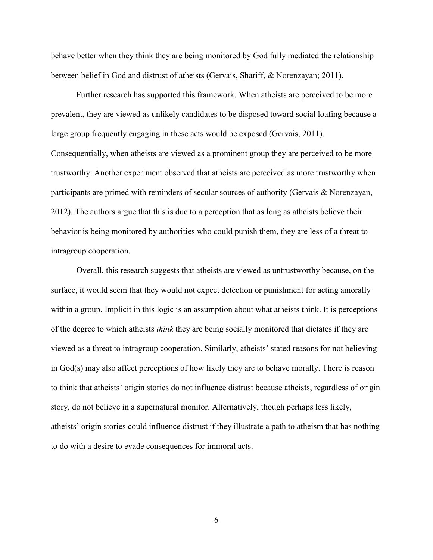behave better when they think they are being monitored by God fully mediated the relationship between belief in God and distrust of atheists (Gervais, Shariff, & Norenzayan; 2011).

 Further research has supported this framework. When atheists are perceived to be more prevalent, they are viewed as unlikely candidates to be disposed toward social loafing because a large group frequently engaging in these acts would be exposed (Gervais, 2011). Consequentially, when atheists are viewed as a prominent group they are perceived to be more trustworthy. Another experiment observed that atheists are perceived as more trustworthy when participants are primed with reminders of secular sources of authority (Gervais & Norenzayan, 2012). The authors argue that this is due to a perception that as long as atheists believe their behavior is being monitored by authorities who could punish them, they are less of a threat to intragroup cooperation.

 Overall, this research suggests that atheists are viewed as untrustworthy because, on the surface, it would seem that they would not expect detection or punishment for acting amorally within a group. Implicit in this logic is an assumption about what atheists think. It is perceptions of the degree to which atheists *think* they are being socially monitored that dictates if they are viewed as a threat to intragroup cooperation. Similarly, atheists' stated reasons for not believing in God(s) may also affect perceptions of how likely they are to behave morally. There is reason to think that atheists' origin stories do not influence distrust because atheists, regardless of origin story, do not believe in a supernatural monitor. Alternatively, though perhaps less likely, atheists' origin stories could influence distrust if they illustrate a path to atheism that has nothing to do with a desire to evade consequences for immoral acts.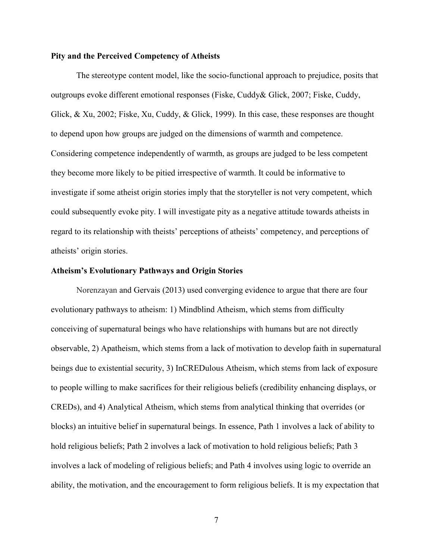#### **Pity and the Perceived Competency of Atheists**

The stereotype content model, like the socio-functional approach to prejudice, posits that outgroups evoke different emotional responses (Fiske, Cuddy& Glick, 2007; Fiske, Cuddy, Glick, & Xu, 2002; Fiske, Xu, Cuddy, & Glick, 1999). In this case, these responses are thought to depend upon how groups are judged on the dimensions of warmth and competence. Considering competence independently of warmth, as groups are judged to be less competent they become more likely to be pitied irrespective of warmth. It could be informative to investigate if some atheist origin stories imply that the storyteller is not very competent, which could subsequently evoke pity. I will investigate pity as a negative attitude towards atheists in regard to its relationship with theists' perceptions of atheists' competency, and perceptions of atheists' origin stories.

#### **Atheism's Evolutionary Pathways and Origin Stories**

Norenzayan and Gervais (2013) used converging evidence to argue that there are four evolutionary pathways to atheism: 1) Mindblind Atheism, which stems from difficulty conceiving of supernatural beings who have relationships with humans but are not directly observable, 2) Apatheism, which stems from a lack of motivation to develop faith in supernatural beings due to existential security, 3) InCREDulous Atheism, which stems from lack of exposure to people willing to make sacrifices for their religious beliefs (credibility enhancing displays, or CREDs), and 4) Analytical Atheism, which stems from analytical thinking that overrides (or blocks) an intuitive belief in supernatural beings. In essence, Path 1 involves a lack of ability to hold religious beliefs; Path 2 involves a lack of motivation to hold religious beliefs; Path 3 involves a lack of modeling of religious beliefs; and Path 4 involves using logic to override an ability, the motivation, and the encouragement to form religious beliefs. It is my expectation that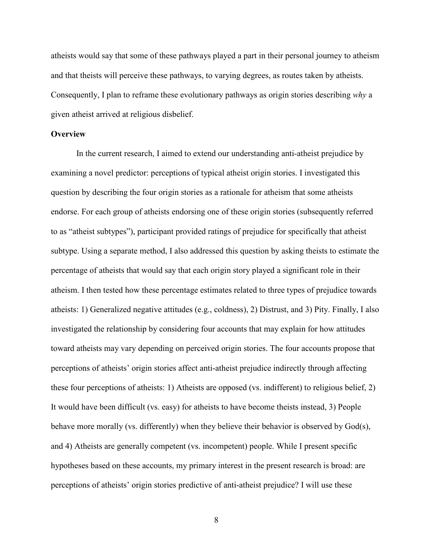atheists would say that some of these pathways played a part in their personal journey to atheism and that theists will perceive these pathways, to varying degrees, as routes taken by atheists. Consequently, I plan to reframe these evolutionary pathways as origin stories describing *why* a given atheist arrived at religious disbelief.

#### **Overview**

In the current research, I aimed to extend our understanding anti-atheist prejudice by examining a novel predictor: perceptions of typical atheist origin stories. I investigated this question by describing the four origin stories as a rationale for atheism that some atheists endorse. For each group of atheists endorsing one of these origin stories (subsequently referred to as "atheist subtypes"), participant provided ratings of prejudice for specifically that atheist subtype. Using a separate method, I also addressed this question by asking theists to estimate the percentage of atheists that would say that each origin story played a significant role in their atheism. I then tested how these percentage estimates related to three types of prejudice towards atheists: 1) Generalized negative attitudes (e.g., coldness), 2) Distrust, and 3) Pity. Finally, I also investigated the relationship by considering four accounts that may explain for how attitudes toward atheists may vary depending on perceived origin stories. The four accounts propose that perceptions of atheists' origin stories affect anti-atheist prejudice indirectly through affecting these four perceptions of atheists: 1) Atheists are opposed (vs. indifferent) to religious belief, 2) It would have been difficult (vs. easy) for atheists to have become theists instead, 3) People behave more morally (vs. differently) when they believe their behavior is observed by God(s), and 4) Atheists are generally competent (vs. incompetent) people. While I present specific hypotheses based on these accounts, my primary interest in the present research is broad: are perceptions of atheists' origin stories predictive of anti-atheist prejudice? I will use these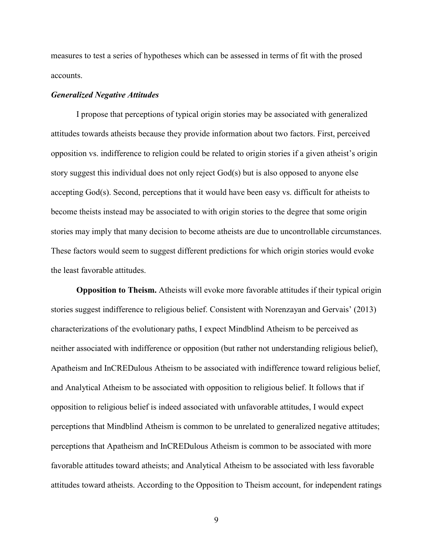measures to test a series of hypotheses which can be assessed in terms of fit with the prosed accounts.

#### *Generalized Negative Attitudes*

I propose that perceptions of typical origin stories may be associated with generalized attitudes towards atheists because they provide information about two factors. First, perceived opposition vs. indifference to religion could be related to origin stories if a given atheist's origin story suggest this individual does not only reject God(s) but is also opposed to anyone else accepting God(s). Second, perceptions that it would have been easy vs. difficult for atheists to become theists instead may be associated to with origin stories to the degree that some origin stories may imply that many decision to become atheists are due to uncontrollable circumstances. These factors would seem to suggest different predictions for which origin stories would evoke the least favorable attitudes.

**Opposition to Theism.** Atheists will evoke more favorable attitudes if their typical origin stories suggest indifference to religious belief. Consistent with Norenzayan and Gervais' (2013) characterizations of the evolutionary paths, I expect Mindblind Atheism to be perceived as neither associated with indifference or opposition (but rather not understanding religious belief), Apatheism and InCREDulous Atheism to be associated with indifference toward religious belief, and Analytical Atheism to be associated with opposition to religious belief. It follows that if opposition to religious belief is indeed associated with unfavorable attitudes, I would expect perceptions that Mindblind Atheism is common to be unrelated to generalized negative attitudes; perceptions that Apatheism and InCREDulous Atheism is common to be associated with more favorable attitudes toward atheists; and Analytical Atheism to be associated with less favorable attitudes toward atheists. According to the Opposition to Theism account, for independent ratings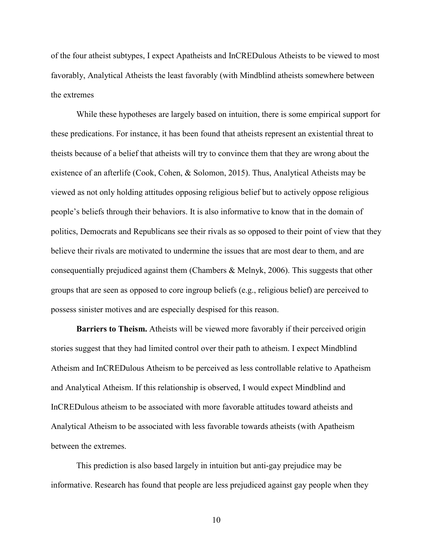of the four atheist subtypes, I expect Apatheists and InCREDulous Atheists to be viewed to most favorably, Analytical Atheists the least favorably (with Mindblind atheists somewhere between the extremes

 While these hypotheses are largely based on intuition, there is some empirical support for these predications. For instance, it has been found that atheists represent an existential threat to theists because of a belief that atheists will try to convince them that they are wrong about the existence of an afterlife (Cook, Cohen, & Solomon, 2015). Thus, Analytical Atheists may be viewed as not only holding attitudes opposing religious belief but to actively oppose religious people's beliefs through their behaviors. It is also informative to know that in the domain of politics, Democrats and Republicans see their rivals as so opposed to their point of view that they believe their rivals are motivated to undermine the issues that are most dear to them, and are consequentially prejudiced against them (Chambers & Melnyk, 2006). This suggests that other groups that are seen as opposed to core ingroup beliefs (e.g., religious belief) are perceived to possess sinister motives and are especially despised for this reason.

**Barriers to Theism.** Atheists will be viewed more favorably if their perceived origin stories suggest that they had limited control over their path to atheism. I expect Mindblind Atheism and InCREDulous Atheism to be perceived as less controllable relative to Apatheism and Analytical Atheism. If this relationship is observed, I would expect Mindblind and InCREDulous atheism to be associated with more favorable attitudes toward atheists and Analytical Atheism to be associated with less favorable towards atheists (with Apatheism between the extremes.

 This prediction is also based largely in intuition but anti-gay prejudice may be informative. Research has found that people are less prejudiced against gay people when they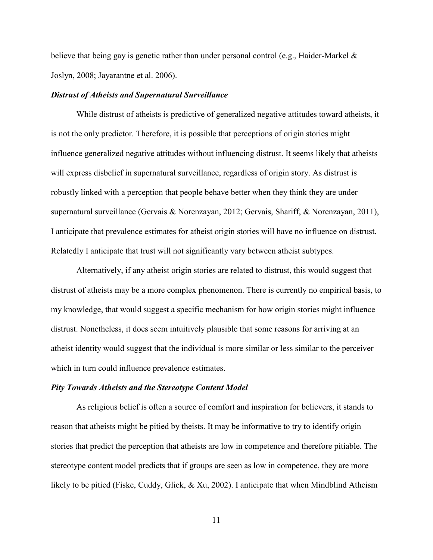believe that being gay is genetic rather than under personal control (e.g., Haider-Markel  $\&$ Joslyn, 2008; Jayarantne et al. 2006).

#### *Distrust of Atheists and Supernatural Surveillance*

While distrust of atheists is predictive of generalized negative attitudes toward atheists, it is not the only predictor. Therefore, it is possible that perceptions of origin stories might influence generalized negative attitudes without influencing distrust. It seems likely that atheists will express disbelief in supernatural surveillance, regardless of origin story. As distrust is robustly linked with a perception that people behave better when they think they are under supernatural surveillance (Gervais & Norenzayan, 2012; Gervais, Shariff, & Norenzayan, 2011), I anticipate that prevalence estimates for atheist origin stories will have no influence on distrust. Relatedly I anticipate that trust will not significantly vary between atheist subtypes.

 Alternatively, if any atheist origin stories are related to distrust, this would suggest that distrust of atheists may be a more complex phenomenon. There is currently no empirical basis, to my knowledge, that would suggest a specific mechanism for how origin stories might influence distrust. Nonetheless, it does seem intuitively plausible that some reasons for arriving at an atheist identity would suggest that the individual is more similar or less similar to the perceiver which in turn could influence prevalence estimates.

#### *Pity Towards Atheists and the Stereotype Content Model*

As religious belief is often a source of comfort and inspiration for believers, it stands to reason that atheists might be pitied by theists. It may be informative to try to identify origin stories that predict the perception that atheists are low in competence and therefore pitiable. The stereotype content model predicts that if groups are seen as low in competence, they are more likely to be pitied (Fiske, Cuddy, Glick, & Xu, 2002). I anticipate that when Mindblind Atheism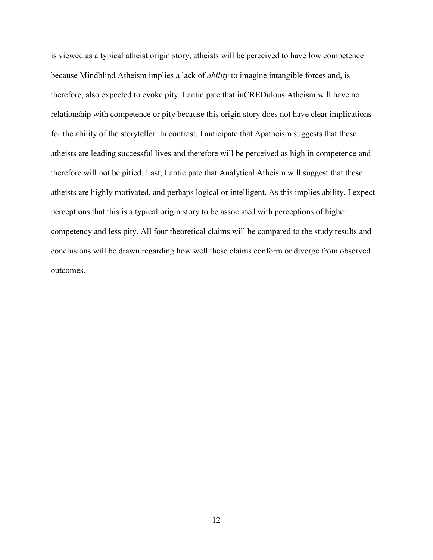is viewed as a typical atheist origin story, atheists will be perceived to have low competence because Mindblind Atheism implies a lack of *ability* to imagine intangible forces and, is therefore, also expected to evoke pity. I anticipate that inCREDulous Atheism will have no relationship with competence or pity because this origin story does not have clear implications for the ability of the storyteller. In contrast, I anticipate that Apatheism suggests that these atheists are leading successful lives and therefore will be perceived as high in competence and therefore will not be pitied. Last, I anticipate that Analytical Atheism will suggest that these atheists are highly motivated, and perhaps logical or intelligent. As this implies ability, I expect perceptions that this is a typical origin story to be associated with perceptions of higher competency and less pity. All four theoretical claims will be compared to the study results and conclusions will be drawn regarding how well these claims conform or diverge from observed outcomes.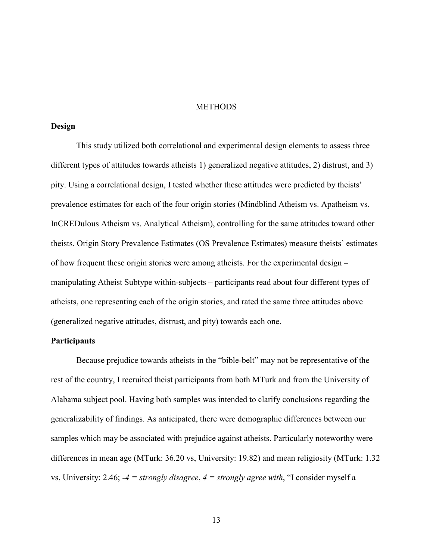#### **METHODS**

#### **Design**

This study utilized both correlational and experimental design elements to assess three different types of attitudes towards atheists 1) generalized negative attitudes, 2) distrust, and 3) pity. Using a correlational design, I tested whether these attitudes were predicted by theists' prevalence estimates for each of the four origin stories (Mindblind Atheism vs. Apatheism vs. InCREDulous Atheism vs. Analytical Atheism), controlling for the same attitudes toward other theists. Origin Story Prevalence Estimates (OS Prevalence Estimates) measure theists' estimates of how frequent these origin stories were among atheists. For the experimental design – manipulating Atheist Subtype within-subjects – participants read about four different types of atheists, one representing each of the origin stories, and rated the same three attitudes above (generalized negative attitudes, distrust, and pity) towards each one.

#### **Participants**

Because prejudice towards atheists in the "bible-belt" may not be representative of the rest of the country, I recruited theist participants from both MTurk and from the University of Alabama subject pool. Having both samples was intended to clarify conclusions regarding the generalizability of findings. As anticipated, there were demographic differences between our samples which may be associated with prejudice against atheists. Particularly noteworthy were differences in mean age (MTurk: 36.20 vs, University: 19.82) and mean religiosity (MTurk: 1.32 vs, University: 2.46; *-4 = strongly disagree*, *4 = strongly agree with*, "I consider myself a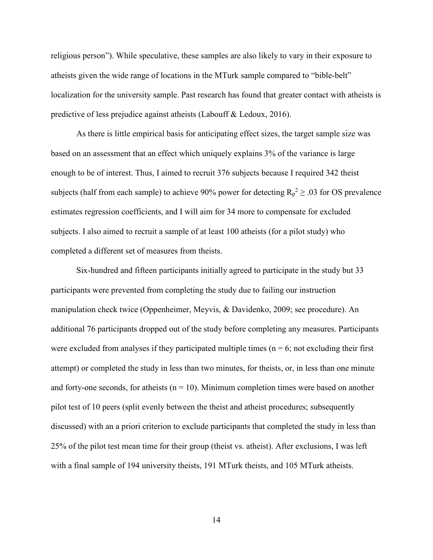religious person"). While speculative, these samples are also likely to vary in their exposure to atheists given the wide range of locations in the MTurk sample compared to "bible-belt" localization for the university sample. Past research has found that greater contact with atheists is predictive of less prejudice against atheists (Labouff & Ledoux, 2016).

 As there is little empirical basis for anticipating effect sizes, the target sample size was based on an assessment that an effect which uniquely explains 3% of the variance is large enough to be of interest. Thus, I aimed to recruit 376 subjects because I required 342 theist subjects (half from each sample) to achieve 90% power for detecting  $R_p^2 \geq .03$  for OS prevalence estimates regression coefficients, and I will aim for 34 more to compensate for excluded subjects. I also aimed to recruit a sample of at least 100 atheists (for a pilot study) who completed a different set of measures from theists.

 Six-hundred and fifteen participants initially agreed to participate in the study but 33 participants were prevented from completing the study due to failing our instruction manipulation check twice (Oppenheimer, Meyvis, & Davidenko, 2009; see procedure). An additional 76 participants dropped out of the study before completing any measures. Participants were excluded from analyses if they participated multiple times ( $n = 6$ ; not excluding their first attempt) or completed the study in less than two minutes, for theists, or, in less than one minute and forty-one seconds, for atheists ( $n = 10$ ). Minimum completion times were based on another pilot test of 10 peers (split evenly between the theist and atheist procedures; subsequently discussed) with an a priori criterion to exclude participants that completed the study in less than 25% of the pilot test mean time for their group (theist vs. atheist). After exclusions, I was left with a final sample of 194 university theists, 191 MTurk theists, and 105 MTurk atheists.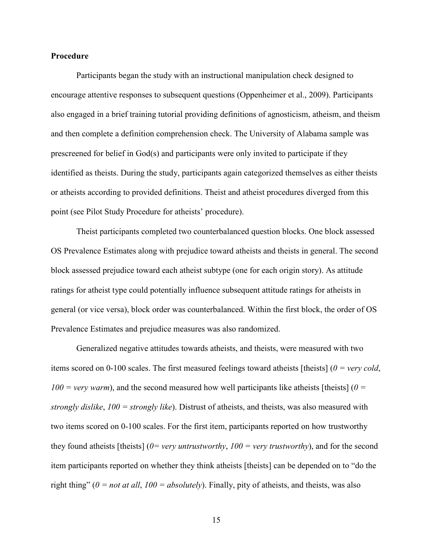#### **Procedure**

Participants began the study with an instructional manipulation check designed to encourage attentive responses to subsequent questions (Oppenheimer et al., 2009). Participants also engaged in a brief training tutorial providing definitions of agnosticism, atheism, and theism and then complete a definition comprehension check. The University of Alabama sample was prescreened for belief in God(s) and participants were only invited to participate if they identified as theists. During the study, participants again categorized themselves as either theists or atheists according to provided definitions. Theist and atheist procedures diverged from this point (see Pilot Study Procedure for atheists' procedure).

 Theist participants completed two counterbalanced question blocks. One block assessed OS Prevalence Estimates along with prejudice toward atheists and theists in general. The second block assessed prejudice toward each atheist subtype (one for each origin story). As attitude ratings for atheist type could potentially influence subsequent attitude ratings for atheists in general (or vice versa), block order was counterbalanced. Within the first block, the order of OS Prevalence Estimates and prejudice measures was also randomized.

 Generalized negative attitudes towards atheists, and theists, were measured with two items scored on 0-100 scales. The first measured feelings toward atheists [theists] (*0 = very cold*,  $100 = \text{very warm}$ , and the second measured how well participants like atheists [theists] ( $0 =$ *strongly dislike*, *100 = strongly like*). Distrust of atheists, and theists, was also measured with two items scored on 0-100 scales. For the first item, participants reported on how trustworthy they found atheists [theists] (*0= very untrustworthy*, *100 = very trustworthy*), and for the second item participants reported on whether they think atheists [theists] can be depended on to "do the right thing" (*0 = not at all*, *100 = absolutely*). Finally, pity of atheists, and theists, was also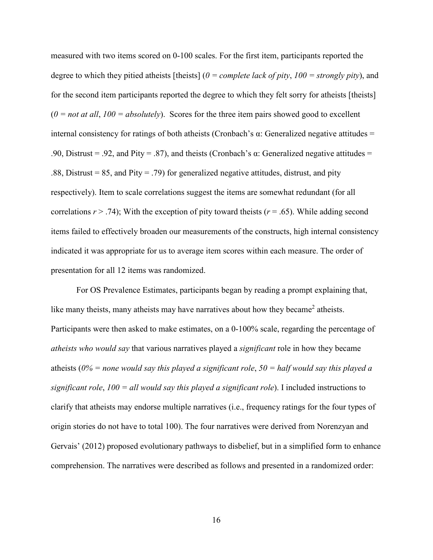measured with two items scored on 0-100 scales. For the first item, participants reported the degree to which they pitied atheists [theists] (*0 = complete lack of pity*, *100 = strongly pity*), and for the second item participants reported the degree to which they felt sorry for atheists [theists]  $(0 = not at all, 100 = absolutely)$ . Scores for the three item pairs showed good to excellent internal consistency for ratings of both atheists (Cronbach's  $\alpha$ : Generalized negative attitudes = .90, Distrust = .92, and Pity = .87), and theists (Cronbach's  $\alpha$ : Generalized negative attitudes = .88, Distrust = 85, and Pity = .79) for generalized negative attitudes, distrust, and pity respectively). Item to scale correlations suggest the items are somewhat redundant (for all correlations  $r > .74$ ); With the exception of pity toward theists ( $r = .65$ ). While adding second items failed to effectively broaden our measurements of the constructs, high internal consistency indicated it was appropriate for us to average item scores within each measure. The order of presentation for all 12 items was randomized.

 For OS Prevalence Estimates, participants began by reading a prompt explaining that, like many theists, many atheists may have narratives about how they became<sup>2</sup> atheists. Participants were then asked to make estimates, on a 0-100% scale, regarding the percentage of *atheists who would say* that various narratives played a *significant* role in how they became atheists (*0% = none would say this played a significant role*, *50 = half would say this played a significant role*, *100 = all would say this played a significant role*). I included instructions to clarify that atheists may endorse multiple narratives (i.e., frequency ratings for the four types of origin stories do not have to total 100). The four narratives were derived from Norenzyan and Gervais' (2012) proposed evolutionary pathways to disbelief, but in a simplified form to enhance comprehension. The narratives were described as follows and presented in a randomized order: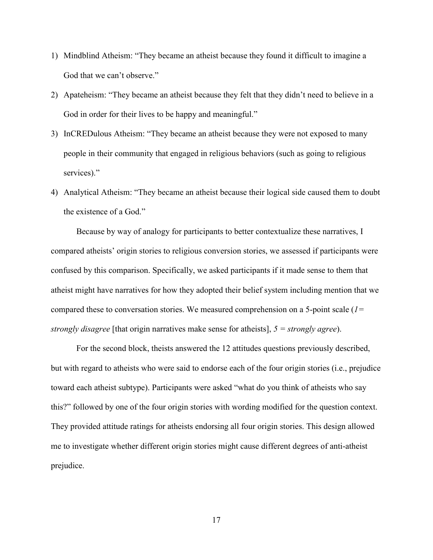- 1) Mindblind Atheism: "They became an atheist because they found it difficult to imagine a God that we can't observe."
- 2) Apateheism: "They became an atheist because they felt that they didn't need to believe in a God in order for their lives to be happy and meaningful."
- 3) InCREDulous Atheism: "They became an atheist because they were not exposed to many people in their community that engaged in religious behaviors (such as going to religious services)."
- 4) Analytical Atheism: "They became an atheist because their logical side caused them to doubt the existence of a God."

 Because by way of analogy for participants to better contextualize these narratives, I compared atheists' origin stories to religious conversion stories, we assessed if participants were confused by this comparison. Specifically, we asked participants if it made sense to them that atheist might have narratives for how they adopted their belief system including mention that we compared these to conversation stories. We measured comprehension on a 5-point scale (*1= strongly disagree* [that origin narratives make sense for atheists], *5 = strongly agree*).

 For the second block, theists answered the 12 attitudes questions previously described, but with regard to atheists who were said to endorse each of the four origin stories (i.e., prejudice toward each atheist subtype). Participants were asked "what do you think of atheists who say this?" followed by one of the four origin stories with wording modified for the question context. They provided attitude ratings for atheists endorsing all four origin stories. This design allowed me to investigate whether different origin stories might cause different degrees of anti-atheist prejudice.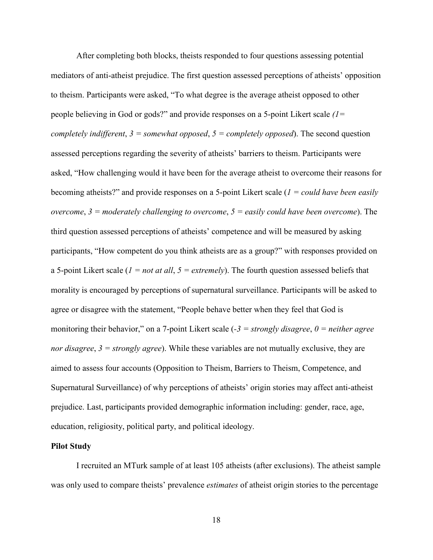After completing both blocks, theists responded to four questions assessing potential mediators of anti-atheist prejudice. The first question assessed perceptions of atheists' opposition to theism. Participants were asked, "To what degree is the average atheist opposed to other people believing in God or gods?" and provide responses on a 5-point Likert scale *(1= completely indifferent*, *3 = somewhat opposed*, *5 = completely opposed*). The second question assessed perceptions regarding the severity of atheists' barriers to theism. Participants were asked, "How challenging would it have been for the average atheist to overcome their reasons for becoming atheists?" and provide responses on a 5-point Likert scale (*1 = could have been easily overcome*, *3 = moderately challenging to overcome*, *5 = easily could have been overcome*). The third question assessed perceptions of atheists' competence and will be measured by asking participants, "How competent do you think atheists are as a group?" with responses provided on a 5-point Likert scale (*1 = not at all*, *5 = extremely*). The fourth question assessed beliefs that morality is encouraged by perceptions of supernatural surveillance. Participants will be asked to agree or disagree with the statement, "People behave better when they feel that God is monitoring their behavior," on a 7-point Likert scale (*-3 = strongly disagree*, *0 = neither agree nor disagree*, *3 = strongly agree*). While these variables are not mutually exclusive, they are aimed to assess four accounts (Opposition to Theism, Barriers to Theism, Competence, and Supernatural Surveillance) of why perceptions of atheists' origin stories may affect anti-atheist prejudice. Last, participants provided demographic information including: gender, race, age, education, religiosity, political party, and political ideology.

#### **Pilot Study**

 I recruited an MTurk sample of at least 105 atheists (after exclusions). The atheist sample was only used to compare theists' prevalence *estimates* of atheist origin stories to the percentage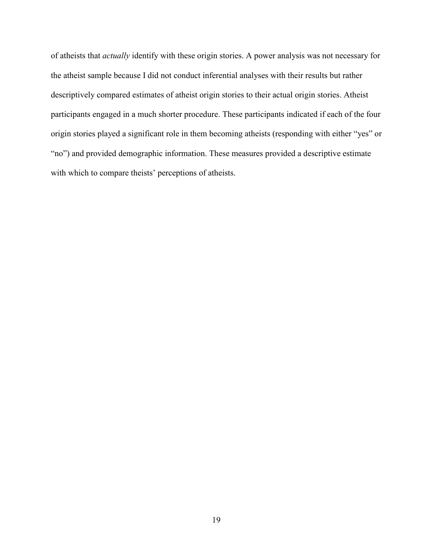of atheists that *actually* identify with these origin stories. A power analysis was not necessary for the atheist sample because I did not conduct inferential analyses with their results but rather descriptively compared estimates of atheist origin stories to their actual origin stories. Atheist participants engaged in a much shorter procedure. These participants indicated if each of the four origin stories played a significant role in them becoming atheists (responding with either "yes" or "no") and provided demographic information. These measures provided a descriptive estimate with which to compare theists' perceptions of atheists.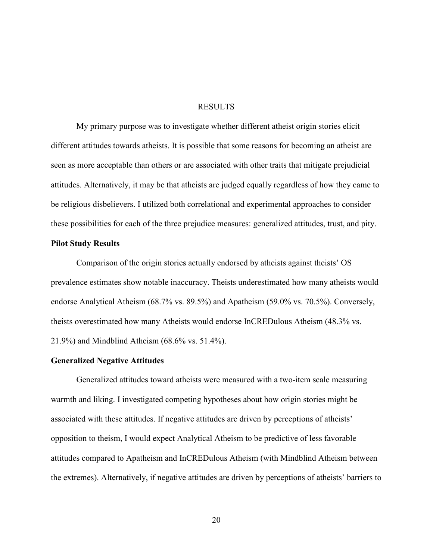#### RESULTS

My primary purpose was to investigate whether different atheist origin stories elicit different attitudes towards atheists. It is possible that some reasons for becoming an atheist are seen as more acceptable than others or are associated with other traits that mitigate prejudicial attitudes. Alternatively, it may be that atheists are judged equally regardless of how they came to be religious disbelievers. I utilized both correlational and experimental approaches to consider these possibilities for each of the three prejudice measures: generalized attitudes, trust, and pity.

#### **Pilot Study Results**

Comparison of the origin stories actually endorsed by atheists against theists' OS prevalence estimates show notable inaccuracy. Theists underestimated how many atheists would endorse Analytical Atheism (68.7% vs. 89.5%) and Apatheism (59.0% vs. 70.5%). Conversely, theists overestimated how many Atheists would endorse InCREDulous Atheism (48.3% vs. 21.9%) and Mindblind Atheism (68.6% vs. 51.4%).

#### **Generalized Negative Attitudes**

Generalized attitudes toward atheists were measured with a two-item scale measuring warmth and liking. I investigated competing hypotheses about how origin stories might be associated with these attitudes. If negative attitudes are driven by perceptions of atheists' opposition to theism, I would expect Analytical Atheism to be predictive of less favorable attitudes compared to Apatheism and InCREDulous Atheism (with Mindblind Atheism between the extremes). Alternatively, if negative attitudes are driven by perceptions of atheists' barriers to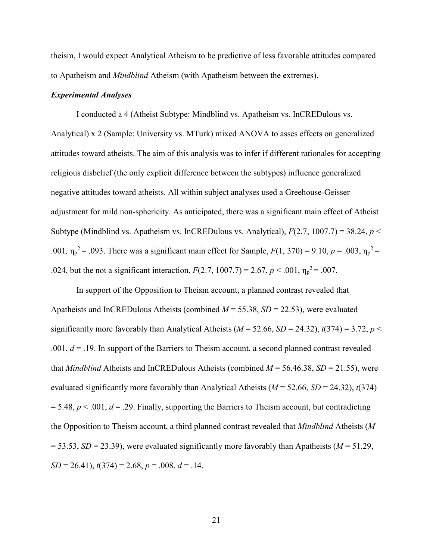theism, I would expect Analytical Atheism to be predictive of less favorable attitudes compared to Apatheism and *Mindblind* Atheism (with Apatheism between the extremes).

#### *Experimental Analyses*

I conducted a 4 (Atheist Subtype: Mindblind vs. Apatheism vs. InCREDulous vs. Analytical) x 2 (Sample: University vs. MTurk) mixed ANOVA to asses effects on generalized attitudes toward atheists. The aim of this analysis was to infer if different rationales for accepting religious disbelief (the only explicit difference between the subtypes) influence generalized negative attitudes toward atheists. All within subject analyses used a Greehouse-Geisser adjustment for mild non-sphericity. As anticipated, there was a significant main effect of Atheist Subtype (Mindblind vs. Apatheism vs. InCREDulous vs. Analytical), *F*(2.7, 1007.7) = 38.24, *p* < .001,  $η<sub>p</sub><sup>2</sup> = .093$ . There was a significant main effect for Sample,  $F(1, 370) = 9.10$ ,  $p = .003$ ,  $η<sub>p</sub><sup>2</sup> =$ .024, but the not a significant interaction,  $F(2.7, 1007.7) = 2.67, p < .001, \eta_p^2 = .007$ .

In support of the Opposition to Theism account, a planned contrast revealed that Apatheists and InCREDulous Atheists (combined *M* = 55.38, *SD* = 22.53), were evaluated significantly more favorably than Analytical Atheists ( $M = 52.66$ ,  $SD = 24.32$ ),  $t(374) = 3.72$ ,  $p <$ .001, *d* = .19. In support of the Barriers to Theism account, a second planned contrast revealed that *Mindblind* Atheists and InCREDulous Atheists (combined *M* = 56.46.38, *SD* = 21.55), were evaluated significantly more favorably than Analytical Atheists ( $M = 52.66$ ,  $SD = 24.32$ ),  $t(374)$  $= 5.48, p < .001, d = .29$ . Finally, supporting the Barriers to Theism account, but contradicting the Opposition to Theism account, a third planned contrast revealed that *Mindblind* Atheists (*M*   $=$  53.53, *SD* = 23.39), were evaluated significantly more favorably than Apatheists (*M* = 51.29, *SD* = 26.41), *t*(374) = 2.68, *p* = .008, *d* = .14.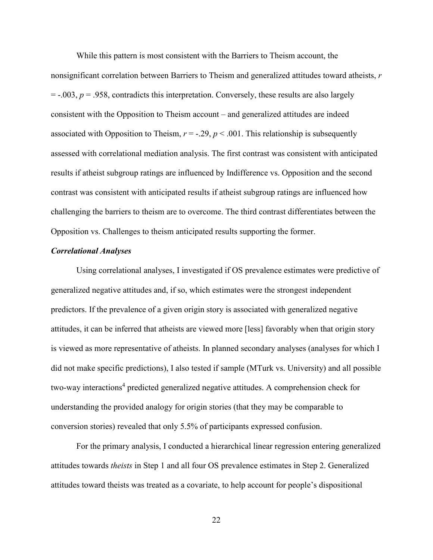While this pattern is most consistent with the Barriers to Theism account, the nonsignificant correlation between Barriers to Theism and generalized attitudes toward atheists, *r*  $=$  -.003,  $p = .958$ , contradicts this interpretation. Conversely, these results are also largely consistent with the Opposition to Theism account – and generalized attitudes are indeed associated with Opposition to Theism,  $r = -0.29$ ,  $p < 0.001$ . This relationship is subsequently assessed with correlational mediation analysis. The first contrast was consistent with anticipated results if atheist subgroup ratings are influenced by Indifference vs. Opposition and the second contrast was consistent with anticipated results if atheist subgroup ratings are influenced how challenging the barriers to theism are to overcome. The third contrast differentiates between the Opposition vs. Challenges to theism anticipated results supporting the former.

#### *Correlational Analyses*

 Using correlational analyses, I investigated if OS prevalence estimates were predictive of generalized negative attitudes and, if so, which estimates were the strongest independent predictors. If the prevalence of a given origin story is associated with generalized negative attitudes, it can be inferred that atheists are viewed more [less] favorably when that origin story is viewed as more representative of atheists. In planned secondary analyses (analyses for which I did not make specific predictions), I also tested if sample (MTurk vs. University) and all possible two-way interactions<sup>4</sup> predicted generalized negative attitudes. A comprehension check for understanding the provided analogy for origin stories (that they may be comparable to conversion stories) revealed that only 5.5% of participants expressed confusion.

 For the primary analysis, I conducted a hierarchical linear regression entering generalized attitudes towards *theists* in Step 1 and all four OS prevalence estimates in Step 2. Generalized attitudes toward theists was treated as a covariate, to help account for people's dispositional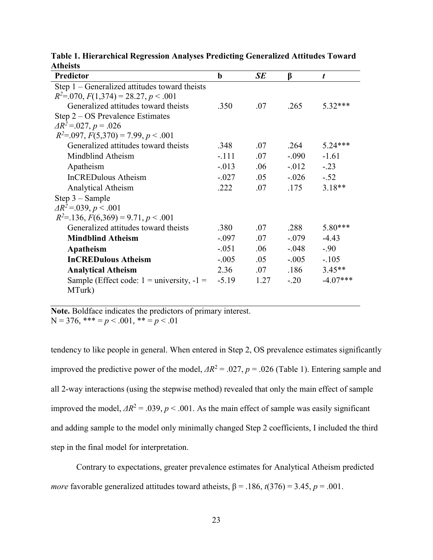| Predictor                                               | b       | <b>SE</b> | β        | t          |
|---------------------------------------------------------|---------|-----------|----------|------------|
| Step $1$ – Generalized attitudes toward theists         |         |           |          |            |
| $R^2 = 070$ , $F(1,374) = 28.27$ , $p < .001$           |         |           |          |            |
| Generalized attitudes toward theists                    | .350    | .07       | .265     | $5.32***$  |
| Step $2 - OS$ Prevalence Estimates                      |         |           |          |            |
| $\Delta R^2 = 0.027$ , $p = 0.026$                      |         |           |          |            |
| $R^2 = 0.097$ , $F(5,370) = 7.99$ , $p < 0.001$         |         |           |          |            |
| Generalized attitudes toward theists                    | .348    | .07       | 264      | $5.24***$  |
| Mindblind Atheism                                       | $-.111$ | .07       | $-.090$  | $-1.61$    |
| Apatheism                                               | $-.013$ | .06       | $-0.012$ | $-.23$     |
| <b>InCREDulous Atheism</b>                              | $-.027$ | .05       | $-.026$  | $-.52$     |
| Analytical Atheism                                      | .222    | .07       | .175     | $3.18**$   |
| $Step 3 - Sample$                                       |         |           |          |            |
| $\Delta R^2 = 0.039$ , $p < 0.001$                      |         |           |          |            |
| $R^2$ = 136, $F(6,369)$ = 9.71, $p < .001$              |         |           |          |            |
| Generalized attitudes toward theists                    | .380    | .07       | .288     | $5.80***$  |
| <b>Mindblind Atheism</b>                                | $-.097$ | .07       | $-.079$  | $-4.43$    |
| Apatheism                                               | $-.051$ | .06       | $-.048$  | $-.90$     |
| <b>InCREDulous Atheism</b>                              | $-.005$ | .05       | $-.005$  | $-.105$    |
| <b>Analytical Atheism</b>                               | 2.36    | .07       | .186     | $3.45**$   |
| Sample (Effect code: $1 =$ university, $-1 =$<br>MTurk) | $-5.19$ | 1.27      | $-.20$   | $-4.07***$ |

**Table 1. Hierarchical Regression Analyses Predicting Generalized Attitudes Toward Atheists**

**Note.** Boldface indicates the predictors of primary interest.  $N = 376$ , \*\*\* =  $p < .001$ , \*\* =  $p < .01$ 

tendency to like people in general. When entered in Step 2, OS prevalence estimates significantly improved the predictive power of the model,  $\Delta R^2 = 0.027$ ,  $p = 0.026$  (Table 1). Entering sample and all 2-way interactions (using the stepwise method) revealed that only the main effect of sample improved the model,  $\Delta R^2 = .039$ ,  $p < .001$ . As the main effect of sample was easily significant and adding sample to the model only minimally changed Step 2 coefficients, I included the third step in the final model for interpretation.

 Contrary to expectations, greater prevalence estimates for Analytical Atheism predicted *more* favorable generalized attitudes toward atheists,  $\beta$  = .186,  $t(376)$  = 3.45,  $p$  = .001.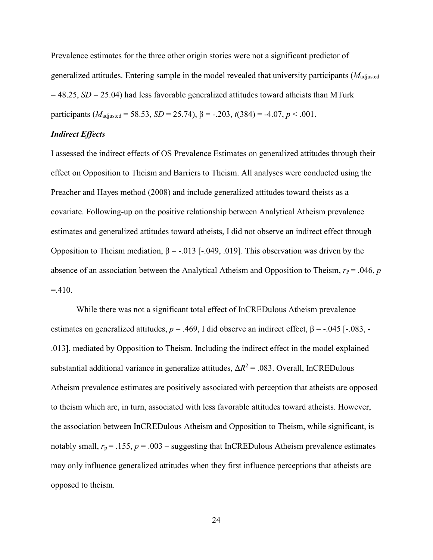Prevalence estimates for the three other origin stories were not a significant predictor of generalized attitudes. Entering sample in the model revealed that university participants (*M*adjusted = 48.25, *SD* = 25.04) had less favorable generalized attitudes toward atheists than MTurk participants ( $M_{\text{adjusted}} = 58.53$ ,  $SD = 25.74$ ),  $\beta = -.203$ ,  $t(384) = -4.07$ ,  $p < .001$ .

#### *Indirect Effects*

I assessed the indirect effects of OS Prevalence Estimates on generalized attitudes through their effect on Opposition to Theism and Barriers to Theism. All analyses were conducted using the Preacher and Hayes method (2008) and include generalized attitudes toward theists as a covariate. Following-up on the positive relationship between Analytical Atheism prevalence estimates and generalized attitudes toward atheists, I did not observe an indirect effect through Opposition to Theism mediation,  $β = -0.013$  [ $-0.049$ , .019]. This observation was driven by the absence of an association between the Analytical Atheism and Opposition to Theism,  $r_P = .046$ , *p*  $=410.$ 

 While there was not a significant total effect of InCREDulous Atheism prevalence estimates on generalized attitudes,  $p = .469$ , I did observe an indirect effect,  $β = -.045$  [-.083, -.013], mediated by Opposition to Theism. Including the indirect effect in the model explained substantial additional variance in generalize attitudes,  $\Delta R^2 = .083$ . Overall, InCREDulous Atheism prevalence estimates are positively associated with perception that atheists are opposed to theism which are, in turn, associated with less favorable attitudes toward atheists. However, the association between InCREDulous Atheism and Opposition to Theism, while significant, is notably small,  $r_p = .155$ ,  $p = .003$  – suggesting that InCREDulous Atheism prevalence estimates may only influence generalized attitudes when they first influence perceptions that atheists are opposed to theism.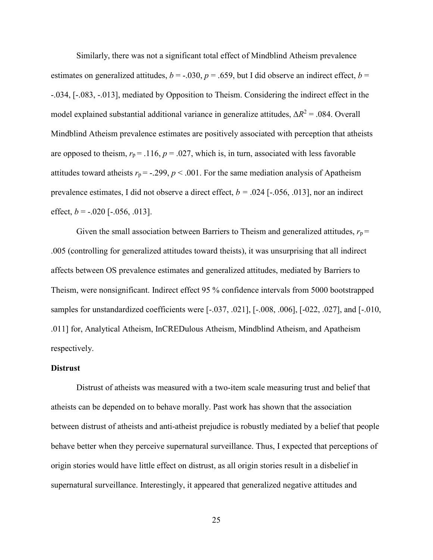Similarly, there was not a significant total effect of Mindblind Atheism prevalence estimates on generalized attitudes,  $b = -.030$ ,  $p = .659$ , but I did observe an indirect effect,  $b =$ -.034, [-.083, -.013], mediated by Opposition to Theism. Considering the indirect effect in the model explained substantial additional variance in generalize attitudes,  $\Delta R^2 = .084$ . Overall Mindblind Atheism prevalence estimates are positively associated with perception that atheists are opposed to theism,  $r_p = .116$ ,  $p = .027$ , which is, in turn, associated with less favorable attitudes toward atheists  $r_p = -.299$ ,  $p < .001$ . For the same mediation analysis of Apatheism prevalence estimates, I did not observe a direct effect, *b =* .024 [-.056, .013], nor an indirect effect,  $b = -0.020$  [ $-0.056$ , 0.013].

Given the small association between Barriers to Theism and generalized attitudes,  $r_p$  = .005 (controlling for generalized attitudes toward theists), it was unsurprising that all indirect affects between OS prevalence estimates and generalized attitudes, mediated by Barriers to Theism, were nonsignificant. Indirect effect 95 % confidence intervals from 5000 bootstrapped samples for unstandardized coefficients were [-.037, .021], [-.008, .006], [-022, .027], and [-.010, .011] for, Analytical Atheism, InCREDulous Atheism, Mindblind Atheism, and Apatheism respectively.

#### **Distrust**

Distrust of atheists was measured with a two-item scale measuring trust and belief that atheists can be depended on to behave morally. Past work has shown that the association between distrust of atheists and anti-atheist prejudice is robustly mediated by a belief that people behave better when they perceive supernatural surveillance. Thus, I expected that perceptions of origin stories would have little effect on distrust, as all origin stories result in a disbelief in supernatural surveillance. Interestingly, it appeared that generalized negative attitudes and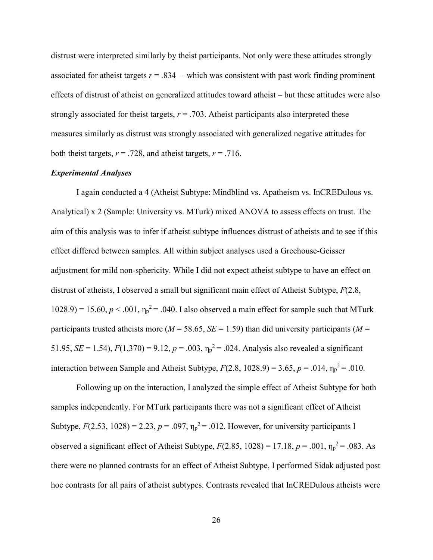distrust were interpreted similarly by theist participants. Not only were these attitudes strongly associated for atheist targets  $r = .834$  – which was consistent with past work finding prominent effects of distrust of atheist on generalized attitudes toward atheist – but these attitudes were also strongly associated for theist targets,  $r = .703$ . Atheist participants also interpreted these measures similarly as distrust was strongly associated with generalized negative attitudes for both theist targets,  $r = .728$ , and atheist targets,  $r = .716$ .

### *Experimental Analyses*

I again conducted a 4 (Atheist Subtype: Mindblind vs. Apatheism vs. InCREDulous vs. Analytical) x 2 (Sample: University vs. MTurk) mixed ANOVA to assess effects on trust. The aim of this analysis was to infer if atheist subtype influences distrust of atheists and to see if this effect differed between samples. All within subject analyses used a Greehouse-Geisser adjustment for mild non-sphericity. While I did not expect atheist subtype to have an effect on distrust of atheists, I observed a small but significant main effect of Atheist Subtype, *F*(2.8,  $1028.9$  = 15.60,  $p < .001$ ,  $\eta_p^2$  = .040. I also observed a main effect for sample such that MTurk participants trusted atheists more ( $M = 58.65$ ,  $SE = 1.59$ ) than did university participants ( $M =$ 51.95, *SE* = 1.54),  $F(1,370) = 9.12$ ,  $p = .003$ ,  $\eta_p^2 = .024$ . Analysis also revealed a significant interaction between Sample and Atheist Subtype,  $F(2.8, 1028.9) = 3.65$ ,  $p = .014$ ,  $\eta_p^2 = .010$ .

Following up on the interaction, I analyzed the simple effect of Atheist Subtype for both samples independently. For MTurk participants there was not a significant effect of Atheist Subtype,  $F(2.53, 1028) = 2.23, p = .097, \eta_p^2 = .012$ . However, for university participants I observed a significant effect of Atheist Subtype,  $F(2.85, 1028) = 17.18$ ,  $p = .001$ ,  $\eta_p^2 = .083$ . As there were no planned contrasts for an effect of Atheist Subtype, I performed Sidak adjusted post hoc contrasts for all pairs of atheist subtypes. Contrasts revealed that InCREDulous atheists were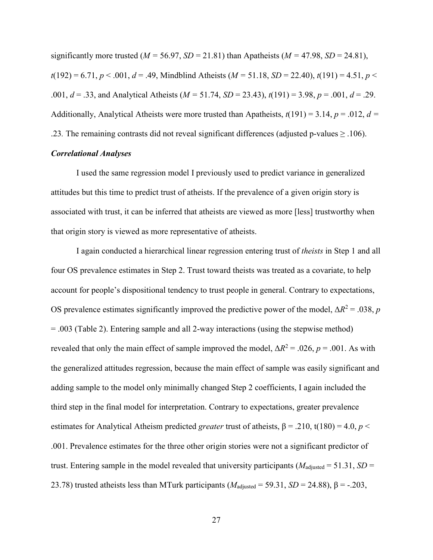significantly more trusted ( $M = 56.97$ ,  $SD = 21.81$ ) than Apatheists ( $M = 47.98$ ,  $SD = 24.81$ ), *t*(192) = 6.71, *p* < .001, *d* = .49, Mindblind Atheists (*M =* 51.18, *SD* = 22.40), *t*(191) = 4.51, *p* < .001,  $d = 0.33$ , and Analytical Atheists ( $M = 51.74$ ,  $SD = 23.43$ ),  $t(191) = 3.98$ ,  $p = 0.001$ ,  $d = 0.29$ . Additionally, Analytical Atheists were more trusted than Apatheists,  $t(191) = 3.14$ ,  $p = .012$ ,  $d =$ .23. The remaining contrasts did not reveal significant differences (adjusted p-values  $\geq$  .106).

## *Correlational Analyses*

I used the same regression model I previously used to predict variance in generalized attitudes but this time to predict trust of atheists. If the prevalence of a given origin story is associated with trust, it can be inferred that atheists are viewed as more [less] trustworthy when that origin story is viewed as more representative of atheists.

 I again conducted a hierarchical linear regression entering trust of *theists* in Step 1 and all four OS prevalence estimates in Step 2. Trust toward theists was treated as a covariate, to help account for people's dispositional tendency to trust people in general. Contrary to expectations, OS prevalence estimates significantly improved the predictive power of the model,  $\Delta R^2 = .038$ , *p* = .003 (Table 2). Entering sample and all 2-way interactions (using the stepwise method) revealed that only the main effect of sample improved the model,  $\Delta R^2 = .026$ ,  $p = .001$ . As with the generalized attitudes regression, because the main effect of sample was easily significant and adding sample to the model only minimally changed Step 2 coefficients, I again included the third step in the final model for interpretation. Contrary to expectations, greater prevalence estimates for Analytical Atheism predicted *greater* trust of atheists,  $\beta$  = .210, t(180) = 4.0, *p* < .001. Prevalence estimates for the three other origin stories were not a significant predictor of trust. Entering sample in the model revealed that university participants ( $M_{\text{adjusted}} = 51.31$ ,  $SD =$ 23.78) trusted atheists less than MTurk participants ( $M_{\text{adjusted}} = 59.31$ ,  $SD = 24.88$ ),  $\beta = -.203$ ,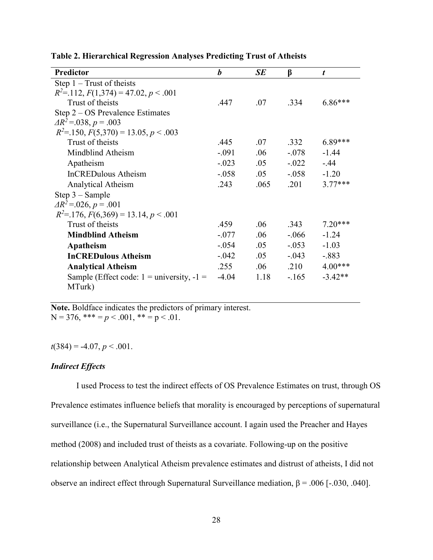| <b>Predictor</b>                                        | $\boldsymbol{b}$ | SE   | $\beta$  | t         |
|---------------------------------------------------------|------------------|------|----------|-----------|
| Step $1 - Trust$ of theists                             |                  |      |          |           |
| $R^2 = 112$ , $F(1,374) = 47.02$ , $p < .001$           |                  |      |          |           |
| Trust of theists                                        | .447             | .07  | .334     | $6.86***$ |
| Step 2 – OS Prevalence Estimates                        |                  |      |          |           |
| $\Delta R^2 = 0.038$ , $p = 0.003$                      |                  |      |          |           |
| $R^2$ =.150, $F(5,370)$ = 13.05, $p < .003$             |                  |      |          |           |
| Trust of theists                                        | .445             | .07  | .332     | $6.89***$ |
| Mindblind Atheism                                       | $-.091$          | .06  | $-.078$  | $-1.44$   |
| Apatheism                                               | $-.023$          | .05  | $-.022$  | $-.44$    |
| <b>InCREDulous Atheism</b>                              | $-.058$          | .05  | $-.058$  | $-1.20$   |
| Analytical Atheism                                      | .243             | .065 | .201     | $3.77***$ |
| $Step 3 - Sample$                                       |                  |      |          |           |
| $\Delta R^2$ = 0.026, p = 0.01                          |                  |      |          |           |
| $R^2 = 176$ , $F(6,369) = 13.14$ , $p < .001$           |                  |      |          |           |
| Trust of theists                                        | .459             | .06  | .343     | $7.20***$ |
| <b>Mindblind Atheism</b>                                | $-.077$          | .06  | $-.066$  | $-1.24$   |
| Apatheism                                               | $-.054$          | .05  | $-0.053$ | $-1.03$   |
| <b>InCREDulous Atheism</b>                              | $-.042$          | .05  | $-.043$  | $-.883$   |
| <b>Analytical Atheism</b>                               | .255             | .06  | .210     | $4.00***$ |
| Sample (Effect code: $1 =$ university, $-1 =$<br>MTurk) | $-4.04$          | 1.18 | $-165$   | $-3.42**$ |

**Table 2. Hierarchical Regression Analyses Predicting Trust of Atheists**

**Note.** Boldface indicates the predictors of primary interest. N = 376, \*\*\* =  $p < .001$ , \*\* =  $p < .01$ .

 $t(384) = -4.07, p < .001.$ 

## *Indirect Effects*

I used Process to test the indirect effects of OS Prevalence Estimates on trust, through OS Prevalence estimates influence beliefs that morality is encouraged by perceptions of supernatural surveillance (i.e., the Supernatural Surveillance account. I again used the Preacher and Hayes method (2008) and included trust of theists as a covariate. Following-up on the positive relationship between Analytical Atheism prevalence estimates and distrust of atheists, I did not observe an indirect effect through Supernatural Surveillance mediation,  $β = .006$  [-.030, .040].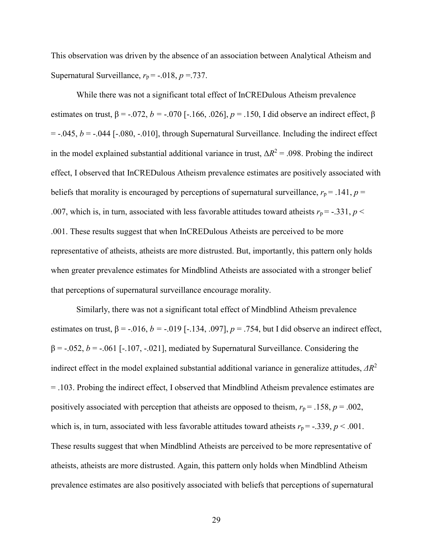This observation was driven by the absence of an association between Analytical Atheism and Supernatural Surveillance,  $r_p$  = -.018,  $p = 737$ .

While there was not a significant total effect of InCREDulous Atheism prevalence estimates on trust,  $β = -.072$ ,  $b = -.070$  [ $-.166$ ,  $.026$ ],  $p = .150$ , I did observe an indirect effect, β  $= -0.045$ ,  $b = -0.044$  [ $-0.080$ ,  $-0.010$ ], through Supernatural Surveillance. Including the indirect effect in the model explained substantial additional variance in trust,  $\Delta R^2 = .098$ . Probing the indirect effect, I observed that InCREDulous Atheism prevalence estimates are positively associated with beliefs that morality is encouraged by perceptions of supernatural surveillance,  $r_p = .141$ ,  $p =$ .007, which is, in turn, associated with less favorable attitudes toward atheists  $r_p = -.331, p <$ .001. These results suggest that when InCREDulous Atheists are perceived to be more representative of atheists, atheists are more distrusted. But, importantly, this pattern only holds when greater prevalence estimates for Mindblind Atheists are associated with a stronger belief that perceptions of supernatural surveillance encourage morality.

 Similarly, there was not a significant total effect of Mindblind Atheism prevalence estimates on trust,  $\beta$  = -.016, *b* = -.019 [-.134, .097], *p* = .754, but I did observe an indirect effect,  $\beta$  = -.052, *b* = -.061 [-.107, -.021], mediated by Supernatural Surveillance. Considering the indirect effect in the model explained substantial additional variance in generalize attitudes, *ΔR*<sup>2</sup> = .103. Probing the indirect effect, I observed that Mindblind Atheism prevalence estimates are positively associated with perception that atheists are opposed to theism,  $r_p = .158$ ,  $p = .002$ , which is, in turn, associated with less favorable attitudes toward atheists  $r_p = -.339$ ,  $p < .001$ . These results suggest that when Mindblind Atheists are perceived to be more representative of atheists, atheists are more distrusted. Again, this pattern only holds when Mindblind Atheism prevalence estimates are also positively associated with beliefs that perceptions of supernatural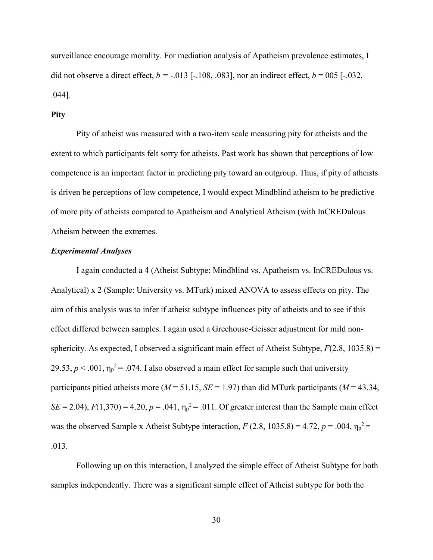surveillance encourage morality. For mediation analysis of Apatheism prevalence estimates, I did not observe a direct effect,  $b = -0.013$  [ $-108$ ,  $0.083$ ], nor an indirect effect,  $b = 0.05$  [ $-0.032$ , .044].

### **Pity**

Pity of atheist was measured with a two-item scale measuring pity for atheists and the extent to which participants felt sorry for atheists. Past work has shown that perceptions of low competence is an important factor in predicting pity toward an outgroup. Thus, if pity of atheists is driven be perceptions of low competence, I would expect Mindblind atheism to be predictive of more pity of atheists compared to Apatheism and Analytical Atheism (with InCREDulous Atheism between the extremes.

#### *Experimental Analyses*

I again conducted a 4 (Atheist Subtype: Mindblind vs. Apatheism vs. InCREDulous vs. Analytical) x 2 (Sample: University vs. MTurk) mixed ANOVA to assess effects on pity. The aim of this analysis was to infer if atheist subtype influences pity of atheists and to see if this effect differed between samples. I again used a Greehouse-Geisser adjustment for mild nonsphericity. As expected, I observed a significant main effect of Atheist Subtype,  $F(2.8, 1035.8) =$ 29.53,  $p < .001$ ,  $\eta_p^2 = .074$ . I also observed a main effect for sample such that university participants pitied atheists more ( $M = 51.15$ ,  $SE = 1.97$ ) than did MTurk participants ( $M = 43.34$ , *SE* = 2.04),  $F(1,370) = 4.20$ ,  $p = .041$ ,  $\eta_p^2 = .011$ . Of greater interest than the Sample main effect was the observed Sample x Atheist Subtype interaction,  $F(2.8, 1035.8) = 4.72$ ,  $p = .004$ ,  $\eta_p^2 =$ .013.

 Following up on this interaction, I analyzed the simple effect of Atheist Subtype for both samples independently. There was a significant simple effect of Atheist subtype for both the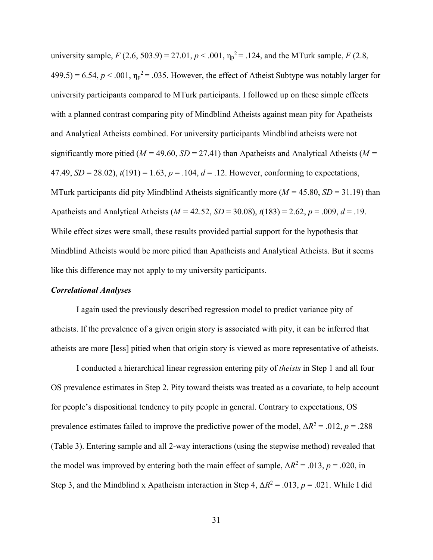university sample,  $F(2.6, 503.9) = 27.01, p < .001, \eta_p^2 = .124$ , and the MTurk sample,  $F(2.8, 1.01)$  $499.5$ ) = 6.54,  $p < .001$ ,  $\eta_p^2$  = .035. However, the effect of Atheist Subtype was notably larger for university participants compared to MTurk participants. I followed up on these simple effects with a planned contrast comparing pity of Mindblind Atheists against mean pity for Apatheists and Analytical Atheists combined. For university participants Mindblind atheists were not significantly more pitied ( $M = 49.60$ ,  $SD = 27.41$ ) than Apatheists and Analytical Atheists ( $M =$ 47.49,  $SD = 28.02$ ),  $t(191) = 1.63$ ,  $p = .104$ ,  $d = .12$ . However, conforming to expectations, MTurk participants did pity Mindblind Atheists significantly more ( $M = 45.80$ ,  $SD = 31.19$ ) than Apatheists and Analytical Atheists ( $M = 42.52$ ,  $SD = 30.08$ ),  $t(183) = 2.62$ ,  $p = .009$ ,  $d = .19$ . While effect sizes were small, these results provided partial support for the hypothesis that Mindblind Atheists would be more pitied than Apatheists and Analytical Atheists. But it seems like this difference may not apply to my university participants.

#### *Correlational Analyses*

I again used the previously described regression model to predict variance pity of atheists. If the prevalence of a given origin story is associated with pity, it can be inferred that atheists are more [less] pitied when that origin story is viewed as more representative of atheists.

I conducted a hierarchical linear regression entering pity of *theists* in Step 1 and all four OS prevalence estimates in Step 2. Pity toward theists was treated as a covariate, to help account for people's dispositional tendency to pity people in general. Contrary to expectations, OS prevalence estimates failed to improve the predictive power of the model,  $\Delta R^2 = .012$ ,  $p = .288$ (Table 3). Entering sample and all 2-way interactions (using the stepwise method) revealed that the model was improved by entering both the main effect of sample,  $\Delta R^2 = .013$ ,  $p = .020$ , in Step 3, and the Mindblind x Apatheism interaction in Step 4,  $\Delta R^2 = .013$ ,  $p = .021$ . While I did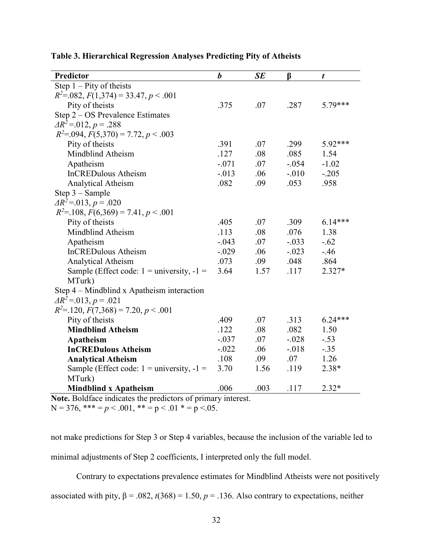| Predictor                                       | $\boldsymbol{b}$ | SE   | β        | $\boldsymbol{t}$ |
|-------------------------------------------------|------------------|------|----------|------------------|
| Step $1$ – Pity of theists                      |                  |      |          |                  |
| $R^2$ =.082, $F(1,374)$ = 33.47, $p < .001$     |                  |      |          |                  |
| Pity of theists                                 | .375             | .07  | .287     | 5.79***          |
| Step 2 – OS Prevalence Estimates                |                  |      |          |                  |
| $\Delta R^2 = 012, p = 0.288$                   |                  |      |          |                  |
| $R^2 = 0.094$ , $F(5,370) = 7.72$ , $p < 0.003$ |                  |      |          |                  |
| Pity of theists                                 | .391             | .07  | .299     | 5.92***          |
| Mindblind Atheism                               | .127             | .08  | .085     | 1.54             |
| Apatheism                                       | $-.071$          | .07  | $-.054$  | $-1.02$          |
| <b>InCREDulous Atheism</b>                      | $-0.013$         | .06  | $-.010$  | $-.205$          |
| Analytical Atheism                              | .082             | .09  | .053     | .958             |
| Step 3 - Sample                                 |                  |      |          |                  |
| $\Delta R^2 = 0.013$ , $p = 0.020$              |                  |      |          |                  |
| $R^2 = 108$ , $F(6,369) = 7.41$ , $p < .001$    |                  |      |          |                  |
| Pity of theists                                 | .405             | .07  | .309     | $6.14***$        |
| Mindblind Atheism                               | .113             | .08  | .076     | 1.38             |
| Apatheism                                       | $-.043$          | .07  | $-.033$  | $-.62$           |
| <b>InCREDulous Atheism</b>                      | $-.029$          | .06  | $-.023$  | $-46$            |
| Analytical Atheism                              | .073             | .09  | .048     | .864             |
| Sample (Effect code: $1 =$ university, $-1 =$   | 3.64             | 1.57 | .117     | 2.327*           |
| MTurk)                                          |                  |      |          |                  |
| Step 4 – Mindblind x Apatheism interaction      |                  |      |          |                  |
| $\Delta R^2 = 0.013$ , $p = 0.021$              |                  |      |          |                  |
| $R^2$ =.120, $F(7,368)$ = 7.20, $p < .001$      |                  |      |          |                  |
| Pity of theists                                 | .409             | .07  | .313     | $6.24***$        |
| <b>Mindblind Atheism</b>                        | .122             | .08  | .082     | 1.50             |
| Apatheism                                       | $-.037$          | .07  | $-.028$  | $-.53$           |
| <b>InCREDulous Atheism</b>                      | $-.022$          | .06  | $-0.018$ | $-.35$           |
| <b>Analytical Atheism</b>                       | .108             | .09  | .07      | 1.26             |
| Sample (Effect code: $1 =$ university, $-1 =$   | 3.70             | 1.56 | .119     | 2.38*            |
| MTurk)                                          |                  |      |          |                  |
| <b>Mindblind x Apatheism</b>                    | .006             | .003 | .117     | $2.32*$          |

# **Table 3. Hierarchical Regression Analyses Predicting Pity of Atheists**

**Note.** Boldface indicates the predictors of primary interest. N = 376, \*\*\* =  $p < .001$ , \*\* =  $p < .01$  \* =  $p < .05$ .

not make predictions for Step 3 or Step 4 variables, because the inclusion of the variable led to minimal adjustments of Step 2 coefficients, I interpreted only the full model.

Contrary to expectations prevalence estimates for Mindblind Atheists were not positively

associated with pity,  $\beta$  = .082, *t*(368) = 1.50, *p* = .136. Also contrary to expectations, neither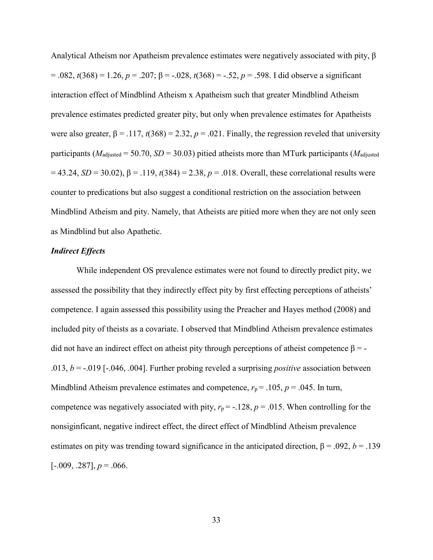Analytical Atheism nor Apatheism prevalence estimates were negatively associated with pity, β = .082, *t*(368) = 1.26, *p* = .207; β = -.028, *t*(368) = -.52, *p* = .598. I did observe a significant interaction effect of Mindblind Atheism x Apatheism such that greater Mindblind Atheism prevalence estimates predicted greater pity, but only when prevalence estimates for Apatheists were also greater,  $\beta$  = .117,  $t(368)$  = 2.32,  $p$  = .021. Finally, the regression reveled that university participants ( $M_{\text{adjusted}} = 50.70$ ,  $SD = 30.03$ ) pitied atheists more than MTurk participants ( $M_{\text{adjusted}}$ )  $= 43.24$ , *SD* = 30.02), β = .119, *t*(384) = 2.38, *p* = .018. Overall, these correlational results were counter to predications but also suggest a conditional restriction on the association between Mindblind Atheism and pity. Namely, that Atheists are pitied more when they are not only seen as Mindblind but also Apathetic.

#### *Indirect Effects*

While independent OS prevalence estimates were not found to directly predict pity, we assessed the possibility that they indirectly effect pity by first effecting perceptions of atheists' competence. I again assessed this possibility using the Preacher and Hayes method (2008) and included pity of theists as a covariate. I observed that Mindblind Atheism prevalence estimates did not have an indirect effect on atheist pity through perceptions of atheist competence  $\beta = -$ .013, *b* = -.019 [-.046, .004]. Further probing reveled a surprising *positive* association between Mindblind Atheism prevalence estimates and competence,  $r_p = .105$ ,  $p = .045$ . In turn, competence was negatively associated with pity,  $r_p = -128$ ,  $p = .015$ . When controlling for the nonsiginficant, negative indirect effect, the direct effect of Mindblind Atheism prevalence estimates on pity was trending toward significance in the anticipated direction,  $\beta = .092$ ,  $b = .139$  $[-.009, .287], p = .066.$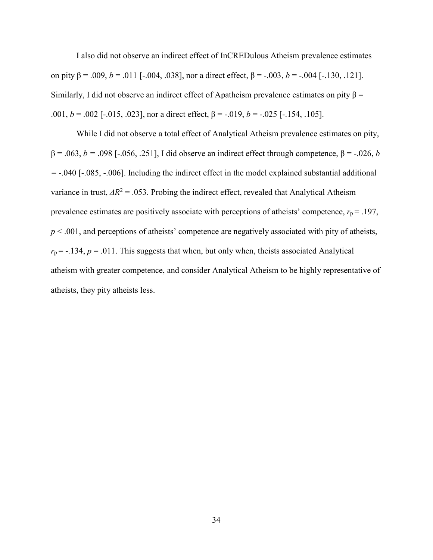I also did not observe an indirect effect of InCREDulous Atheism prevalence estimates on pity β = .009, *b* = .011 [-.004, .038], nor a direct effect, β = -.003, *b* = -.004 [-.130, .121]. Similarly, I did not observe an indirect effect of Apatheism prevalence estimates on pity  $\beta$  = .001,  $b = .002$  [-.015, .023], nor a direct effect,  $\beta = -.019$ ,  $b = -.025$  [-.154, .105].

 While I did not observe a total effect of Analytical Atheism prevalence estimates on pity, β = .063, *b =* .098 [-.056, .251], I did observe an indirect effect through competence, β = -.026, *b =* -.040 [-.085, -.006]. Including the indirect effect in the model explained substantial additional variance in trust,  $\Delta R^2$  = .053. Probing the indirect effect, revealed that Analytical Atheism prevalence estimates are positively associate with perceptions of atheists' competence,  $r_p = .197$ ,  $p < .001$ , and perceptions of atheists' competence are negatively associated with pity of atheists,  $r_p$  = -.134,  $p = .011$ . This suggests that when, but only when, theists associated Analytical atheism with greater competence, and consider Analytical Atheism to be highly representative of atheists, they pity atheists less.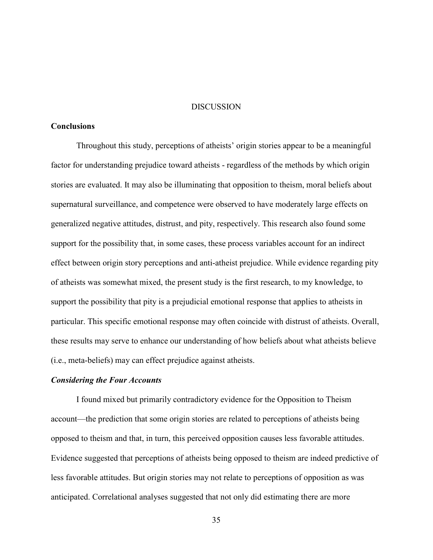#### **DISCUSSION**

## **Conclusions**

Throughout this study, perceptions of atheists' origin stories appear to be a meaningful factor for understanding prejudice toward atheists - regardless of the methods by which origin stories are evaluated. It may also be illuminating that opposition to theism, moral beliefs about supernatural surveillance, and competence were observed to have moderately large effects on generalized negative attitudes, distrust, and pity, respectively. This research also found some support for the possibility that, in some cases, these process variables account for an indirect effect between origin story perceptions and anti-atheist prejudice. While evidence regarding pity of atheists was somewhat mixed, the present study is the first research, to my knowledge, to support the possibility that pity is a prejudicial emotional response that applies to atheists in particular. This specific emotional response may often coincide with distrust of atheists. Overall, these results may serve to enhance our understanding of how beliefs about what atheists believe (i.e., meta-beliefs) may can effect prejudice against atheists.

#### *Considering the Four Accounts*

I found mixed but primarily contradictory evidence for the Opposition to Theism account—the prediction that some origin stories are related to perceptions of atheists being opposed to theism and that, in turn, this perceived opposition causes less favorable attitudes. Evidence suggested that perceptions of atheists being opposed to theism are indeed predictive of less favorable attitudes. But origin stories may not relate to perceptions of opposition as was anticipated. Correlational analyses suggested that not only did estimating there are more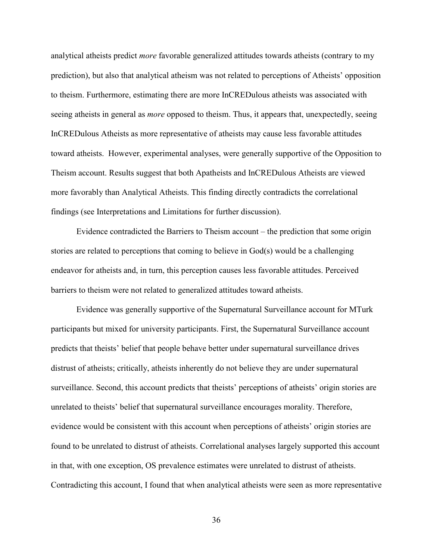analytical atheists predict *more* favorable generalized attitudes towards atheists (contrary to my prediction), but also that analytical atheism was not related to perceptions of Atheists' opposition to theism. Furthermore, estimating there are more InCREDulous atheists was associated with seeing atheists in general as *more* opposed to theism. Thus, it appears that, unexpectedly, seeing InCREDulous Atheists as more representative of atheists may cause less favorable attitudes toward atheists. However, experimental analyses, were generally supportive of the Opposition to Theism account. Results suggest that both Apatheists and InCREDulous Atheists are viewed more favorably than Analytical Atheists. This finding directly contradicts the correlational findings (see Interpretations and Limitations for further discussion).

 Evidence contradicted the Barriers to Theism account – the prediction that some origin stories are related to perceptions that coming to believe in God(s) would be a challenging endeavor for atheists and, in turn, this perception causes less favorable attitudes. Perceived barriers to theism were not related to generalized attitudes toward atheists.

 Evidence was generally supportive of the Supernatural Surveillance account for MTurk participants but mixed for university participants. First, the Supernatural Surveillance account predicts that theists' belief that people behave better under supernatural surveillance drives distrust of atheists; critically, atheists inherently do not believe they are under supernatural surveillance. Second, this account predicts that theists' perceptions of atheists' origin stories are unrelated to theists' belief that supernatural surveillance encourages morality. Therefore, evidence would be consistent with this account when perceptions of atheists' origin stories are found to be unrelated to distrust of atheists. Correlational analyses largely supported this account in that, with one exception, OS prevalence estimates were unrelated to distrust of atheists. Contradicting this account, I found that when analytical atheists were seen as more representative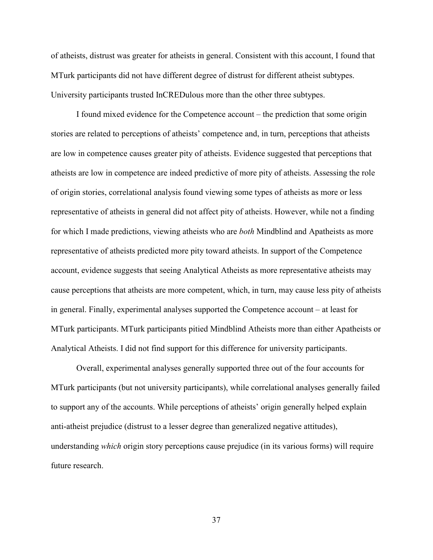of atheists, distrust was greater for atheists in general. Consistent with this account, I found that MTurk participants did not have different degree of distrust for different atheist subtypes. University participants trusted InCREDulous more than the other three subtypes.

 I found mixed evidence for the Competence account – the prediction that some origin stories are related to perceptions of atheists' competence and, in turn, perceptions that atheists are low in competence causes greater pity of atheists. Evidence suggested that perceptions that atheists are low in competence are indeed predictive of more pity of atheists. Assessing the role of origin stories, correlational analysis found viewing some types of atheists as more or less representative of atheists in general did not affect pity of atheists. However, while not a finding for which I made predictions, viewing atheists who are *both* Mindblind and Apatheists as more representative of atheists predicted more pity toward atheists. In support of the Competence account, evidence suggests that seeing Analytical Atheists as more representative atheists may cause perceptions that atheists are more competent, which, in turn, may cause less pity of atheists in general. Finally, experimental analyses supported the Competence account – at least for MTurk participants. MTurk participants pitied Mindblind Atheists more than either Apatheists or Analytical Atheists. I did not find support for this difference for university participants.

 Overall, experimental analyses generally supported three out of the four accounts for MTurk participants (but not university participants), while correlational analyses generally failed to support any of the accounts. While perceptions of atheists' origin generally helped explain anti-atheist prejudice (distrust to a lesser degree than generalized negative attitudes), understanding *which* origin story perceptions cause prejudice (in its various forms) will require future research.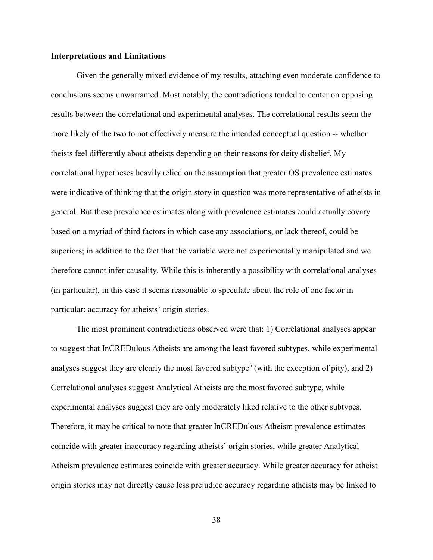#### **Interpretations and Limitations**

 Given the generally mixed evidence of my results, attaching even moderate confidence to conclusions seems unwarranted. Most notably, the contradictions tended to center on opposing results between the correlational and experimental analyses. The correlational results seem the more likely of the two to not effectively measure the intended conceptual question -- whether theists feel differently about atheists depending on their reasons for deity disbelief. My correlational hypotheses heavily relied on the assumption that greater OS prevalence estimates were indicative of thinking that the origin story in question was more representative of atheists in general. But these prevalence estimates along with prevalence estimates could actually covary based on a myriad of third factors in which case any associations, or lack thereof, could be superiors; in addition to the fact that the variable were not experimentally manipulated and we therefore cannot infer causality. While this is inherently a possibility with correlational analyses (in particular), in this case it seems reasonable to speculate about the role of one factor in particular: accuracy for atheists' origin stories.

 The most prominent contradictions observed were that: 1) Correlational analyses appear to suggest that InCREDulous Atheists are among the least favored subtypes, while experimental analyses suggest they are clearly the most favored subtype<sup>5</sup> (with the exception of pity), and 2) Correlational analyses suggest Analytical Atheists are the most favored subtype, while experimental analyses suggest they are only moderately liked relative to the other subtypes. Therefore, it may be critical to note that greater InCREDulous Atheism prevalence estimates coincide with greater inaccuracy regarding atheists' origin stories, while greater Analytical Atheism prevalence estimates coincide with greater accuracy. While greater accuracy for atheist origin stories may not directly cause less prejudice accuracy regarding atheists may be linked to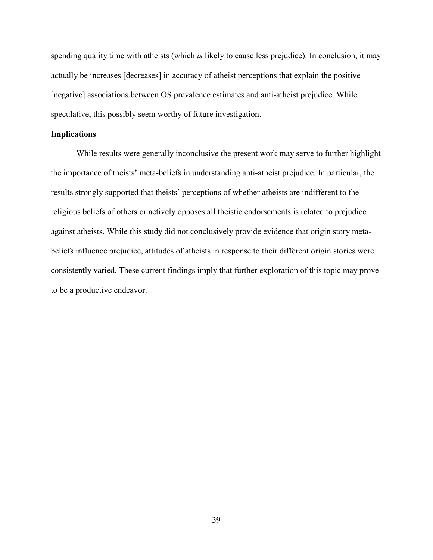spending quality time with atheists (which *is* likely to cause less prejudice). In conclusion, it may actually be increases [decreases] in accuracy of atheist perceptions that explain the positive [negative] associations between OS prevalence estimates and anti-atheist prejudice. While speculative, this possibly seem worthy of future investigation.

#### **Implications**

While results were generally inconclusive the present work may serve to further highlight the importance of theists' meta-beliefs in understanding anti-atheist prejudice. In particular, the results strongly supported that theists' perceptions of whether atheists are indifferent to the religious beliefs of others or actively opposes all theistic endorsements is related to prejudice against atheists. While this study did not conclusively provide evidence that origin story metabeliefs influence prejudice, attitudes of atheists in response to their different origin stories were consistently varied. These current findings imply that further exploration of this topic may prove to be a productive endeavor.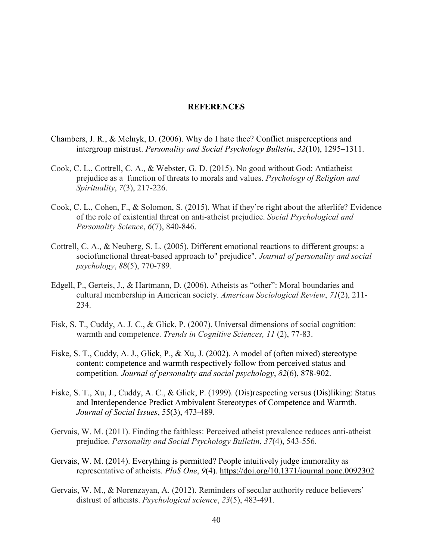#### **REFERENCES**

- Chambers, J. R., & Melnyk, D. (2006). Why do I hate thee? Conflict misperceptions and intergroup mistrust. *Personality and Social Psychology Bulletin*, *32*(10), 1295–1311.
- Cook, C. L., Cottrell, C. A., & Webster, G. D. (2015). No good without God: Antiatheist prejudice as a function of threats to morals and values. *Psychology of Religion and Spirituality*, *7*(3), 217-226.
- Cook, C. L., Cohen, F., & Solomon, S. (2015). What if they're right about the afterlife? Evidence of the role of existential threat on anti-atheist prejudice. *Social Psychological and Personality Science*, *6*(7), 840-846.
- Cottrell, C. A., & Neuberg, S. L. (2005). Different emotional reactions to different groups: a sociofunctional threat-based approach to" prejudice". *Journal of personality and social psychology*, *88*(5), 770-789.
- Edgell, P., Gerteis, J., & Hartmann, D. (2006). Atheists as "other": Moral boundaries and cultural membership in American society. *American Sociological Review*, *71*(2), 211- 234.
- Fisk, S. T., Cuddy, A. J. C., & Glick, P. (2007). Universal dimensions of social cognition: warmth and competence. *Trends in Cognitive Sciences, 11* (2), 77-83.
- Fiske, S. T., Cuddy, A. J., Glick, P., & Xu, J. (2002). A model of (often mixed) stereotype content: competence and warmth respectively follow from perceived status and competition. *Journal of personality and social psychology*, *82*(6), 878-902.
- Fiske, S. T., Xu, J., Cuddy, A. C., & Glick, P. (1999). (Dis)respecting versus (Dis)liking: Status and Interdependence Predict Ambivalent Stereotypes of Competence and Warmth. *Journal of Social Issues*, 55(3), 473-489.
- Gervais, W. M. (2011). Finding the faithless: Perceived atheist prevalence reduces anti-atheist prejudice. *Personality and Social Psychology Bulletin*, *37*(4), 543-556.
- Gervais, W. M. (2014). Everything is permitted? People intuitively judge immorality as representative of atheists. *PloS One*, *9*(4). https://doi.org/10.1371/journal.pone.0092302
- Gervais, W. M., & Norenzayan, A. (2012). Reminders of secular authority reduce believers' distrust of atheists. *Psychological science*, *23*(5), 483-491.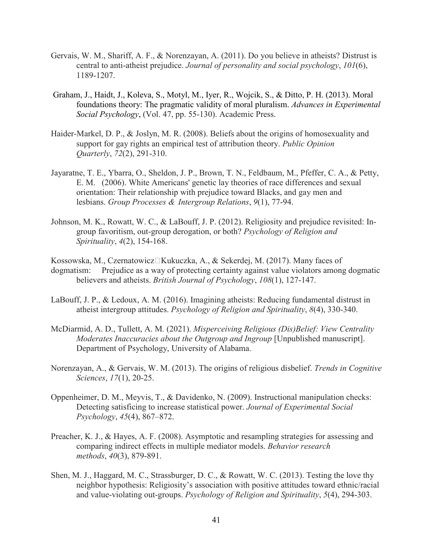- Gervais, W. M., Shariff, A. F., & Norenzayan, A. (2011). Do you believe in atheists? Distrust is central to anti-atheist prejudice. *Journal of personality and social psychology*, *101*(6), 1189-1207.
- Graham, J., Haidt, J., Koleva, S., Motyl, M., Iyer, R., Wojcik, S., & Ditto, P. H. (2013). Moral foundations theory: The pragmatic validity of moral pluralism. *Advances in Experimental Social Psychology*, (Vol. 47, pp. 55-130). Academic Press.
- Haider-Markel, D. P., & Joslyn, M. R. (2008). Beliefs about the origins of homosexuality and support for gay rights an empirical test of attribution theory. *Public Opinion Quarterly*, *72*(2), 291-310.
- Jayaratne, T. E., Ybarra, O., Sheldon, J. P., Brown, T. N., Feldbaum, M., Pfeffer, C. A., & Petty, E. M. (2006). White Americans' genetic lay theories of race differences and sexual orientation: Their relationship with prejudice toward Blacks, and gay men and lesbians. *Group Processes & Intergroup Relations*, *9*(1), 77-94.
- Johnson, M. K., Rowatt, W. C., & LaBouff, J. P. (2012). Religiosity and prejudice revisited: In group favoritism, out-group derogation, or both? *Psychology of Religion and Spirituality*, *4*(2), 154-168.

Kossowska, M., Czernatowicz□Kukuczka, A., & Sekerdej, M. (2017). Many faces of dogmatism: Prejudice as a way of protecting certainty against value violators among dogmatic believers and atheists. *British Journal of Psychology*, *108*(1), 127-147.

- LaBouff, J. P., & Ledoux, A. M. (2016). Imagining atheists: Reducing fundamental distrust in atheist intergroup attitudes. *Psychology of Religion and Spirituality*, *8*(4), 330-340.
- McDiarmid, A. D., Tullett, A. M*.* (2021). *Misperceiving Religious (Dis)Belief: View Centrality Moderates Inaccuracies about the Outgroup and Ingroup* [Unpublished manuscript]. Department of Psychology, University of Alabama.
- Norenzayan, A., & Gervais, W. M. (2013). The origins of religious disbelief. *Trends in Cognitive Sciences*, *17*(1), 20-25.
- Oppenheimer, D. M., Meyvis, T., & Davidenko, N. (2009). Instructional manipulation checks: Detecting satisficing to increase statistical power. *Journal of Experimental Social Psychology*, *45*(4), 867–872.
- Preacher, K. J., & Hayes, A. F. (2008). Asymptotic and resampling strategies for assessing and comparing indirect effects in multiple mediator models. *Behavior research methods*, *40*(3), 879-891.
- Shen, M. J., Haggard, M. C., Strassburger, D. C., & Rowatt, W. C. (2013). Testing the love thy neighbor hypothesis: Religiosity's association with positive attitudes toward ethnic/racial and value-violating out-groups. *Psychology of Religion and Spirituality*, *5*(4), 294-303.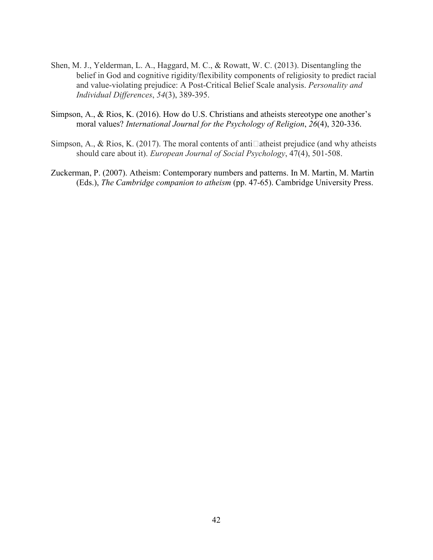- Shen, M. J., Yelderman, L. A., Haggard, M. C., & Rowatt, W. C. (2013). Disentangling the belief in God and cognitive rigidity/flexibility components of religiosity to predict racial and value-violating prejudice: A Post-Critical Belief Scale analysis. *Personality and Individual Differences*, *54*(3), 389-395.
- Simpson, A., & Rios, K. (2016). How do U.S. Christians and atheists stereotype one another's moral values? *International Journal for the Psychology of Religion*, *26*(4), 320-336.
- Simpson, A., & Rios, K. (2017). The moral contents of anti $\Box$ atheist prejudice (and why atheists should care about it). *European Journal of Social Psychology*, 47(4), 501-508.
- Zuckerman, P. (2007). Atheism: Contemporary numbers and patterns. In M. Martin, M. Martin (Eds.), *The Cambridge companion to atheism* (pp. 47-65). Cambridge University Press.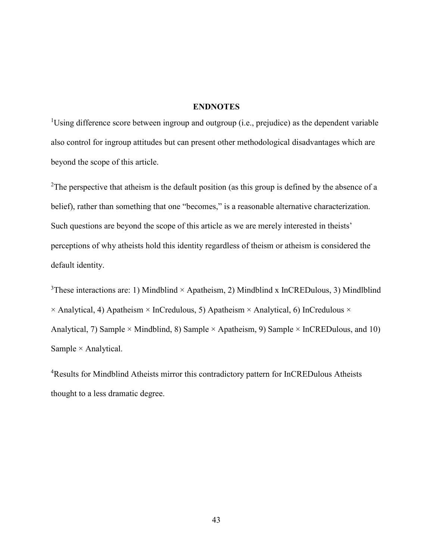## **ENDNOTES**

<sup>1</sup>Using difference score between ingroup and outgroup (i.e., prejudice) as the dependent variable also control for ingroup attitudes but can present other methodological disadvantages which are beyond the scope of this article.

<sup>2</sup>The perspective that atheism is the default position (as this group is defined by the absence of a belief), rather than something that one "becomes," is a reasonable alternative characterization. Such questions are beyond the scope of this article as we are merely interested in theists' perceptions of why atheists hold this identity regardless of theism or atheism is considered the default identity.

<sup>3</sup>These interactions are: 1) Mindblind  $\times$  Apatheism, 2) Mindblind x InCREDulous, 3) Mindlblind  $\times$  Analytical, 4) Apatheism  $\times$  InCredulous, 5) Apatheism  $\times$  Analytical, 6) InCredulous  $\times$ Analytical, 7) Sample × Mindblind, 8) Sample × Apatheism, 9) Sample × InCREDulous, and 10) Sample  $\times$  Analytical.

<sup>4</sup>Results for Mindblind Atheists mirror this contradictory pattern for InCREDulous Atheists thought to a less dramatic degree.